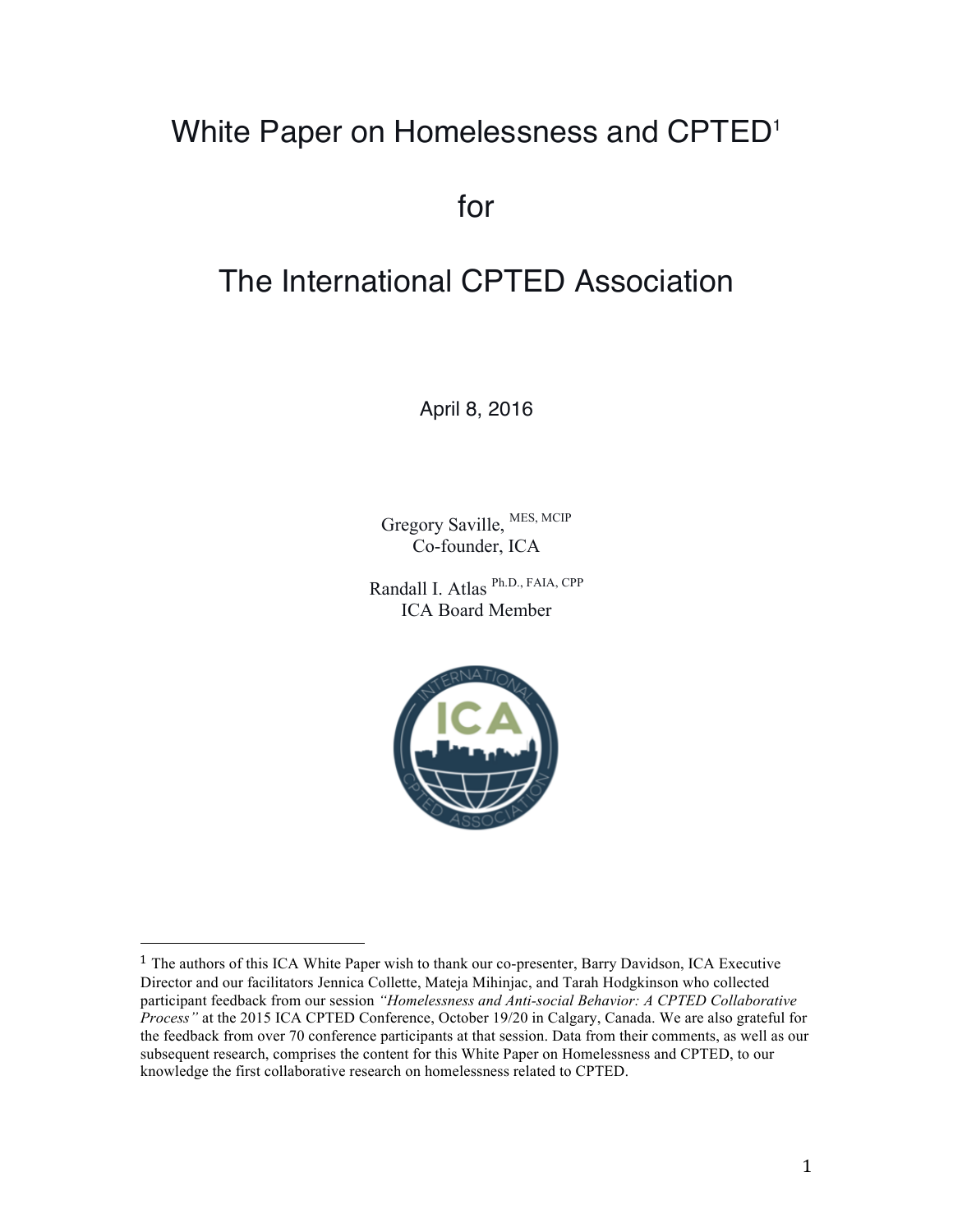## White Paper on Homelessness and CPTED<sup>1</sup>

for

# The International CPTED Association

April 8, 2016

Gregory Saville, MES, MCIP Co-founder, ICA

Randall I. Atlas Ph.D., FAIA, CPP ICA Board Member



<sup>&</sup>lt;sup>1</sup> The authors of this ICA White Paper wish to thank our co-presenter, Barry Davidson, ICA Executive Director and our facilitators Jennica Collette, Mateja Mihinjac, and Tarah Hodgkinson who collected participant feedback from our session *"Homelessness and Anti-social Behavior: A CPTED Collaborative Process"* at the 2015 ICA CPTED Conference, October 19/20 in Calgary, Canada. We are also grateful for the feedback from over 70 conference participants at that session. Data from their comments, as well as our subsequent research, comprises the content for this White Paper on Homelessness and CPTED, to our knowledge the first collaborative research on homelessness related to CPTED.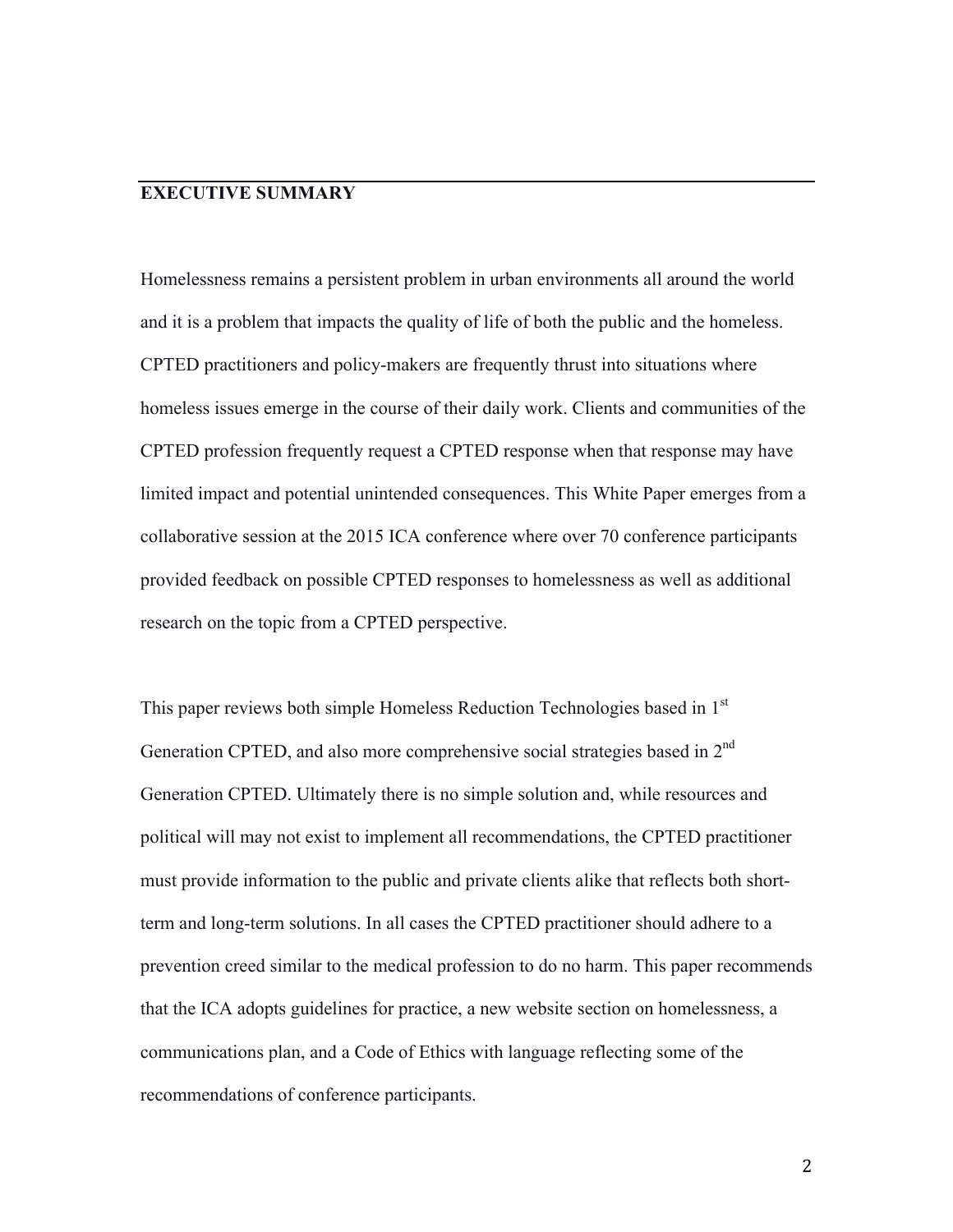## **EXECUTIVE SUMMARY**

Homelessness remains a persistent problem in urban environments all around the world and it is a problem that impacts the quality of life of both the public and the homeless. CPTED practitioners and policy-makers are frequently thrust into situations where homeless issues emerge in the course of their daily work. Clients and communities of the CPTED profession frequently request a CPTED response when that response may have limited impact and potential unintended consequences. This White Paper emerges from a collaborative session at the 2015 ICA conference where over 70 conference participants provided feedback on possible CPTED responses to homelessness as well as additional research on the topic from a CPTED perspective.

This paper reviews both simple Homeless Reduction Technologies based in 1<sup>st</sup> Generation CPTED, and also more comprehensive social strategies based in 2<sup>nd</sup> Generation CPTED. Ultimately there is no simple solution and, while resources and political will may not exist to implement all recommendations, the CPTED practitioner must provide information to the public and private clients alike that reflects both shortterm and long-term solutions. In all cases the CPTED practitioner should adhere to a prevention creed similar to the medical profession to do no harm. This paper recommends that the ICA adopts guidelines for practice, a new website section on homelessness, a communications plan, and a Code of Ethics with language reflecting some of the recommendations of conference participants.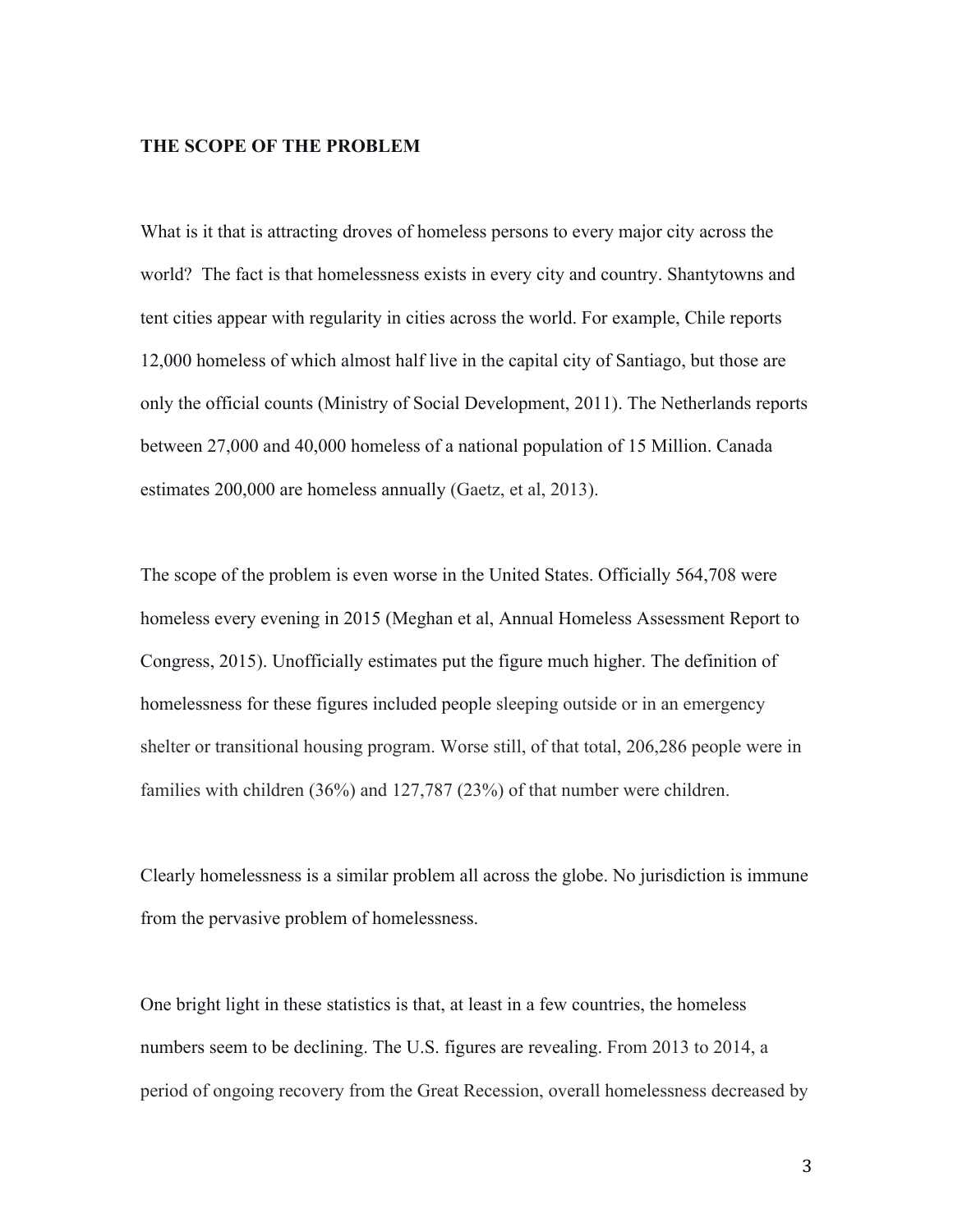#### **THE SCOPE OF THE PROBLEM**

What is it that is attracting droves of homeless persons to every major city across the world? The fact is that homelessness exists in every city and country. Shantytowns and tent cities appear with regularity in cities across the world. For example, Chile reports 12,000 homeless of which almost half live in the capital city of Santiago, but those are only the official counts (Ministry of Social Development, 2011). The Netherlands reports between 27,000 and 40,000 homeless of a national population of 15 Million. Canada estimates 200,000 are homeless annually (Gaetz, et al, 2013).

The scope of the problem is even worse in the United States. Officially 564,708 were homeless every evening in 2015 (Meghan et al, Annual Homeless Assessment Report to Congress, 2015). Unofficially estimates put the figure much higher. The definition of homelessness for these figures included people sleeping outside or in an emergency shelter or transitional housing program. Worse still, of that total, 206,286 people were in families with children (36%) and 127,787 (23%) of that number were children.

Clearly homelessness is a similar problem all across the globe. No jurisdiction is immune from the pervasive problem of homelessness.

One bright light in these statistics is that, at least in a few countries, the homeless numbers seem to be declining. The U.S. figures are revealing. From 2013 to 2014, a period of ongoing recovery from the Great Recession, overall homelessness decreased by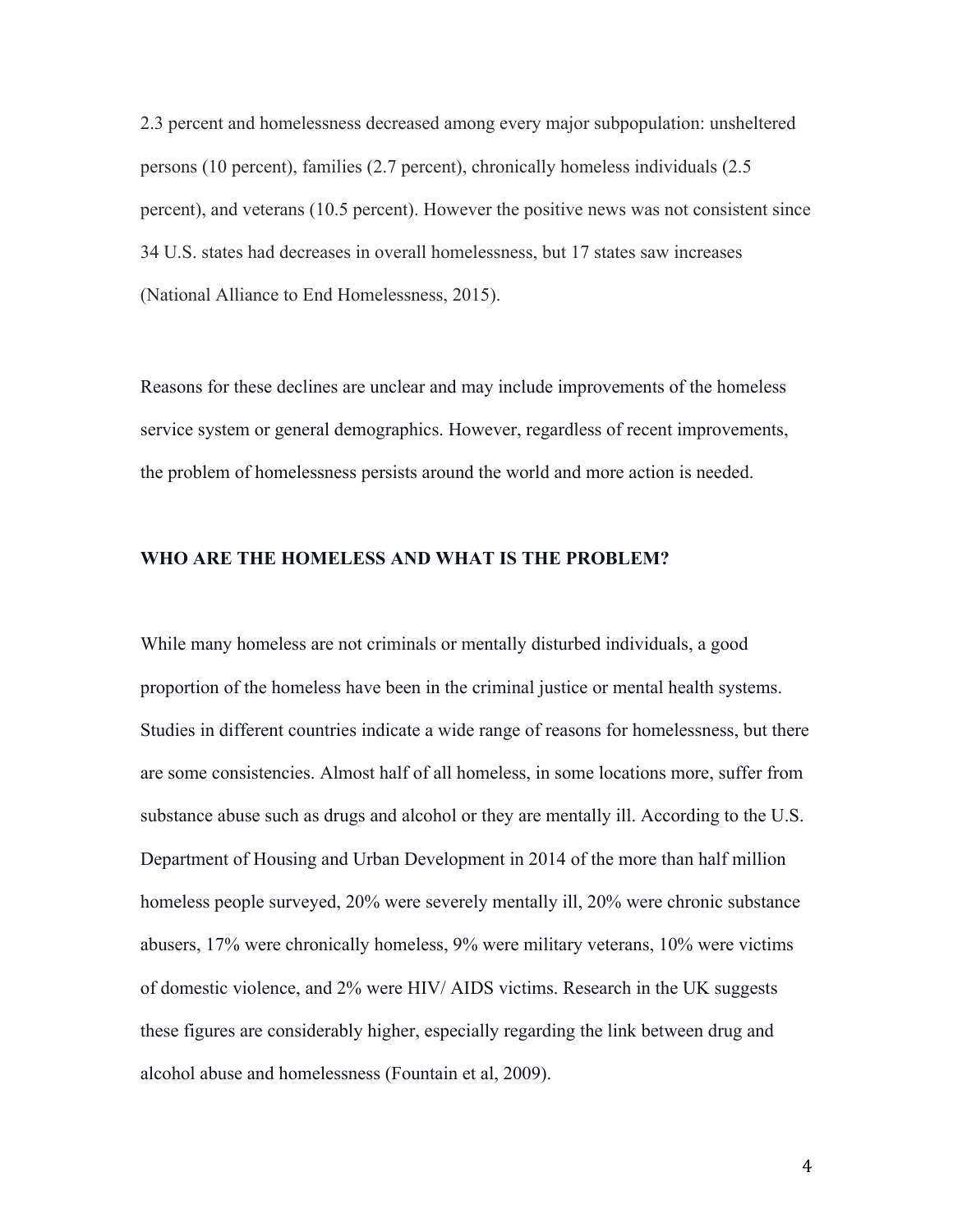2.3 percent and homelessness decreased among every major subpopulation: unsheltered persons (10 percent), families (2.7 percent), chronically homeless individuals (2.5 percent), and veterans (10.5 percent). However the positive news was not consistent since 34 U.S. states had decreases in overall homelessness, but 17 states saw increases (National Alliance to End Homelessness, 2015).

Reasons for these declines are unclear and may include improvements of the homeless service system or general demographics. However, regardless of recent improvements, the problem of homelessness persists around the world and more action is needed.

#### **WHO ARE THE HOMELESS AND WHAT IS THE PROBLEM?**

While many homeless are not criminals or mentally disturbed individuals, a good proportion of the homeless have been in the criminal justice or mental health systems. Studies in different countries indicate a wide range of reasons for homelessness, but there are some consistencies. Almost half of all homeless, in some locations more, suffer from substance abuse such as drugs and alcohol or they are mentally ill. According to the U.S. Department of Housing and Urban Development in 2014 of the more than half million homeless people surveyed, 20% were severely mentally ill, 20% were chronic substance abusers, 17% were chronically homeless, 9% were military veterans, 10% were victims of domestic violence, and 2% were HIV/ AIDS victims. Research in the UK suggests these figures are considerably higher, especially regarding the link between drug and alcohol abuse and homelessness (Fountain et al, 2009).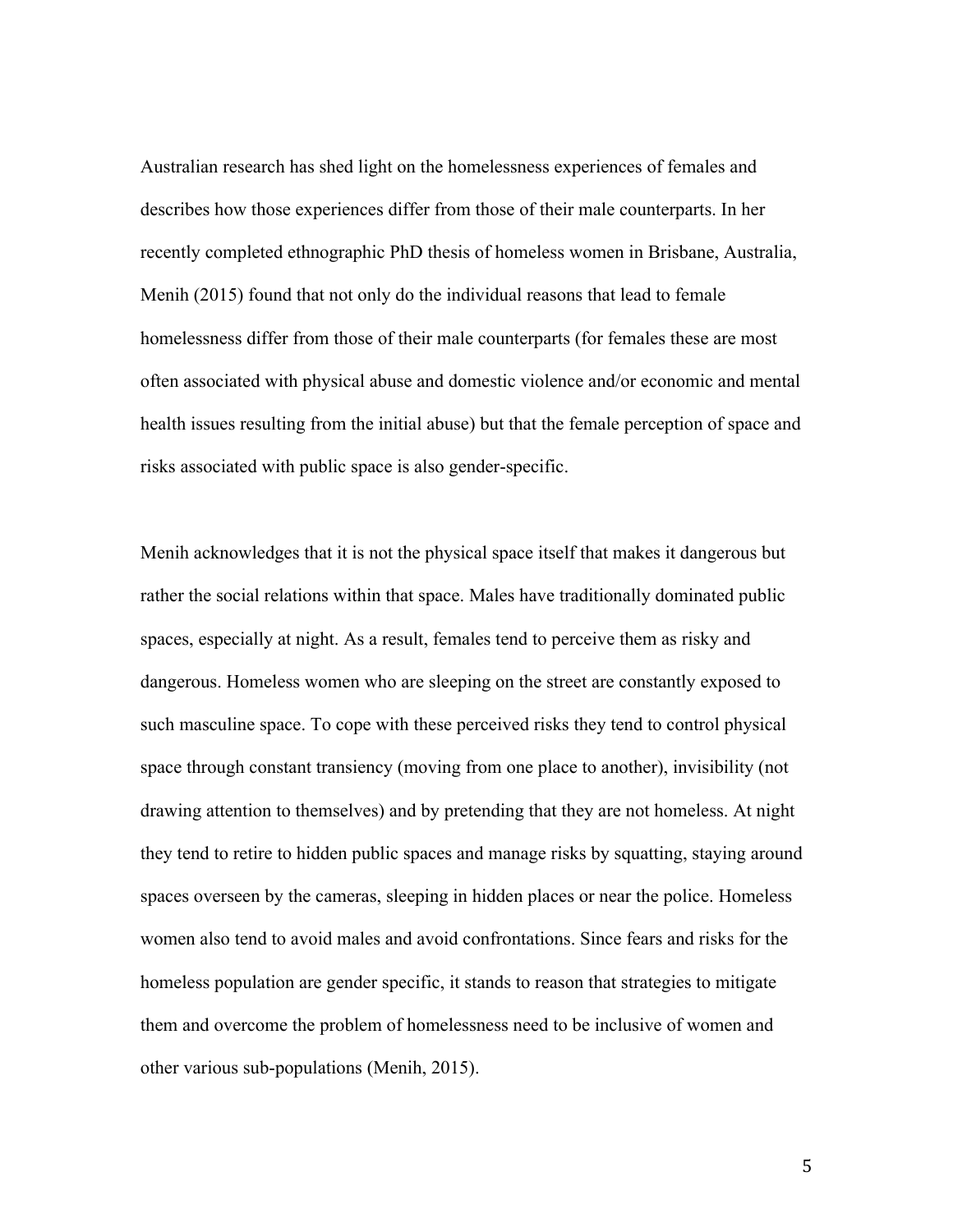Australian research has shed light on the homelessness experiences of females and describes how those experiences differ from those of their male counterparts. In her recently completed ethnographic PhD thesis of homeless women in Brisbane, Australia, Menih (2015) found that not only do the individual reasons that lead to female homelessness differ from those of their male counterparts (for females these are most often associated with physical abuse and domestic violence and/or economic and mental health issues resulting from the initial abuse) but that the female perception of space and risks associated with public space is also gender-specific.

Menih acknowledges that it is not the physical space itself that makes it dangerous but rather the social relations within that space. Males have traditionally dominated public spaces, especially at night. As a result, females tend to perceive them as risky and dangerous. Homeless women who are sleeping on the street are constantly exposed to such masculine space. To cope with these perceived risks they tend to control physical space through constant transiency (moving from one place to another), invisibility (not drawing attention to themselves) and by pretending that they are not homeless. At night they tend to retire to hidden public spaces and manage risks by squatting, staying around spaces overseen by the cameras, sleeping in hidden places or near the police. Homeless women also tend to avoid males and avoid confrontations. Since fears and risks for the homeless population are gender specific, it stands to reason that strategies to mitigate them and overcome the problem of homelessness need to be inclusive of women and other various sub-populations (Menih, 2015).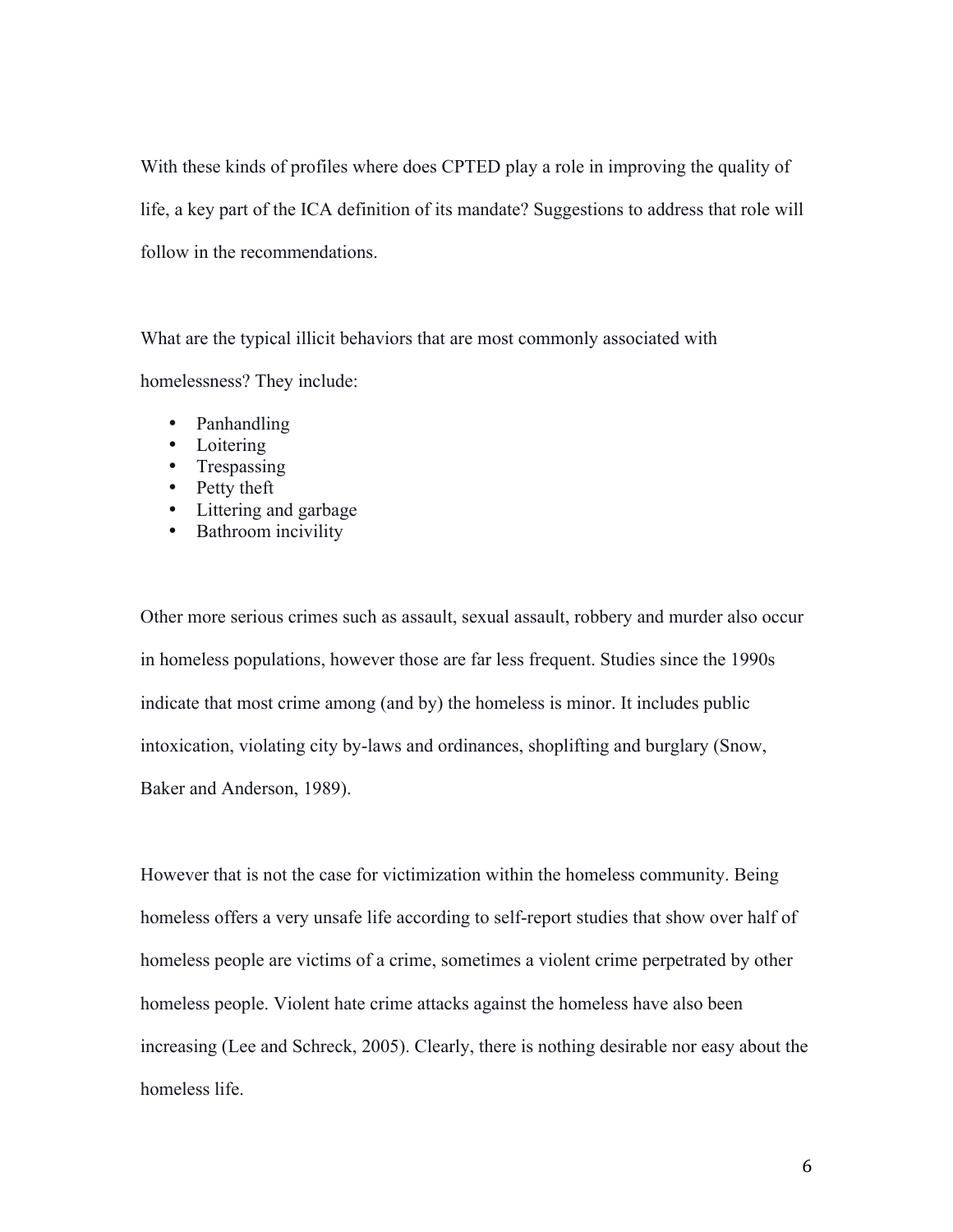With these kinds of profiles where does CPTED play a role in improving the quality of life, a key part of the ICA definition of its mandate? Suggestions to address that role will follow in the recommendations.

What are the typical illicit behaviors that are most commonly associated with homelessness? They include:

- Panhandling
- Loitering
- Trespassing
- Petty theft
- Littering and garbage
- Bathroom incivility

Other more serious crimes such as assault, sexual assault, robbery and murder also occur in homeless populations, however those are far less frequent. Studies since the 1990s indicate that most crime among (and by) the homeless is minor. It includes public intoxication, violating city by-laws and ordinances, shoplifting and burglary (Snow, Baker and Anderson, 1989).

However that is not the case for victimization within the homeless community. Being homeless offers a very unsafe life according to self-report studies that show over half of homeless people are victims of a crime, sometimes a violent crime perpetrated by other homeless people. Violent hate crime attacks against the homeless have also been increasing (Lee and Schreck, 2005). Clearly, there is nothing desirable nor easy about the homeless life.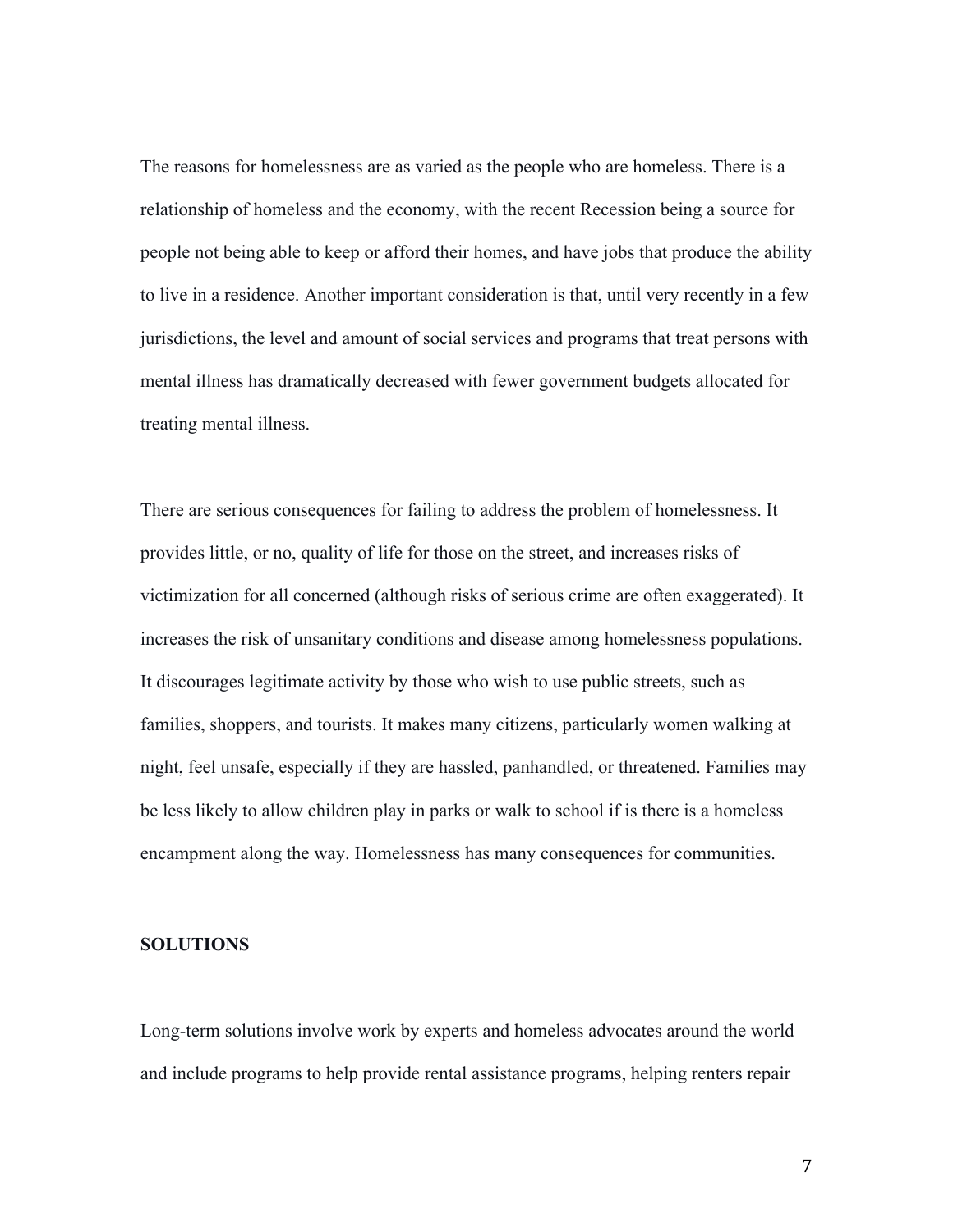The reasons for homelessness are as varied as the people who are homeless. There is a relationship of homeless and the economy, with the recent Recession being a source for people not being able to keep or afford their homes, and have jobs that produce the ability to live in a residence. Another important consideration is that, until very recently in a few jurisdictions, the level and amount of social services and programs that treat persons with mental illness has dramatically decreased with fewer government budgets allocated for treating mental illness.

There are serious consequences for failing to address the problem of homelessness. It provides little, or no, quality of life for those on the street, and increases risks of victimization for all concerned (although risks of serious crime are often exaggerated). It increases the risk of unsanitary conditions and disease among homelessness populations. It discourages legitimate activity by those who wish to use public streets, such as families, shoppers, and tourists. It makes many citizens, particularly women walking at night, feel unsafe, especially if they are hassled, panhandled, or threatened. Families may be less likely to allow children play in parks or walk to school if is there is a homeless encampment along the way. Homelessness has many consequences for communities.

#### **SOLUTIONS**

Long-term solutions involve work by experts and homeless advocates around the world and include programs to help provide rental assistance programs, helping renters repair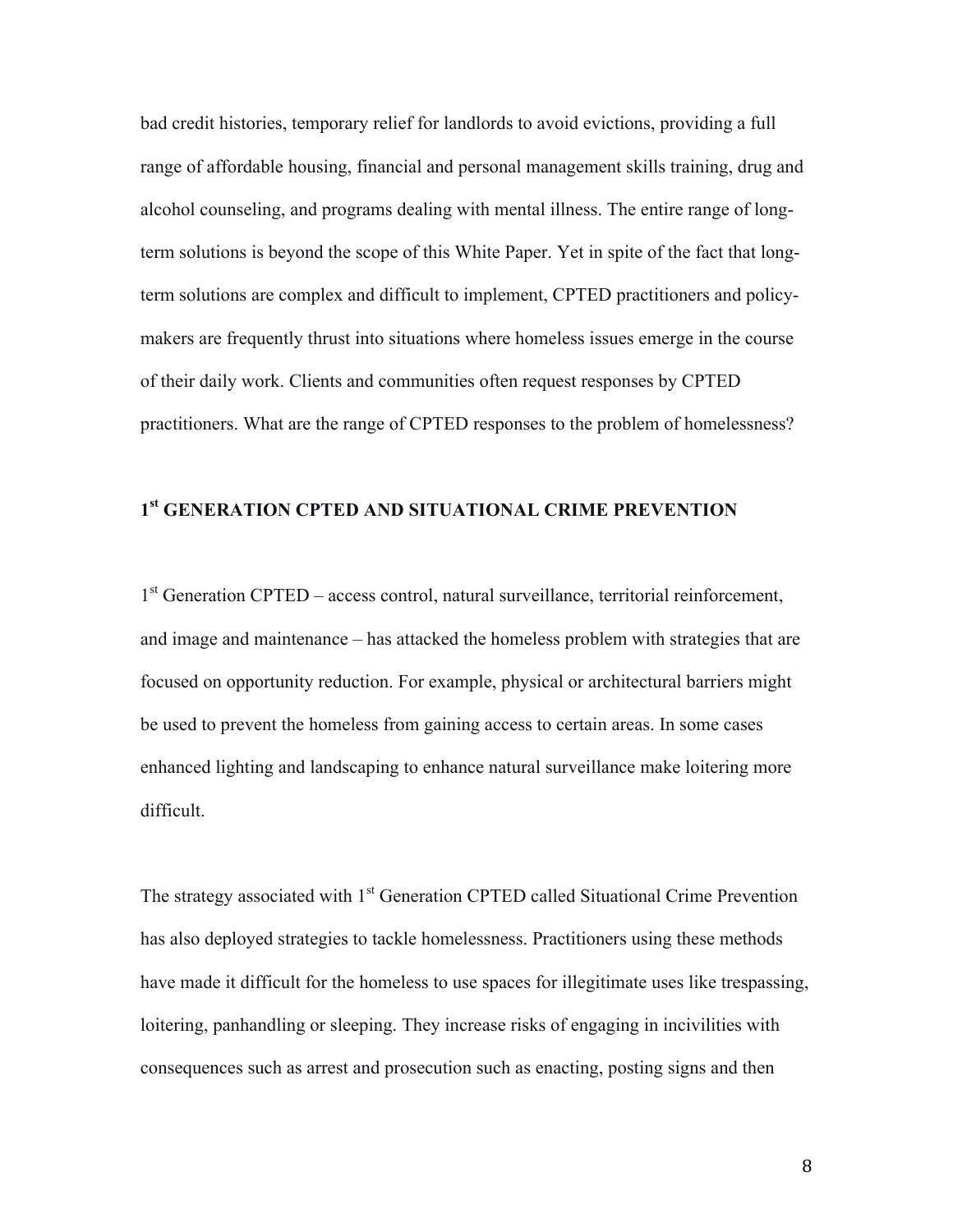bad credit histories, temporary relief for landlords to avoid evictions, providing a full range of affordable housing, financial and personal management skills training, drug and alcohol counseling, and programs dealing with mental illness. The entire range of longterm solutions is beyond the scope of this White Paper. Yet in spite of the fact that longterm solutions are complex and difficult to implement, CPTED practitioners and policymakers are frequently thrust into situations where homeless issues emerge in the course of their daily work. Clients and communities often request responses by CPTED practitioners. What are the range of CPTED responses to the problem of homelessness?

### **1st GENERATION CPTED AND SITUATIONAL CRIME PREVENTION**

1<sup>st</sup> Generation CPTED – access control, natural surveillance, territorial reinforcement, and image and maintenance – has attacked the homeless problem with strategies that are focused on opportunity reduction. For example, physical or architectural barriers might be used to prevent the homeless from gaining access to certain areas. In some cases enhanced lighting and landscaping to enhance natural surveillance make loitering more difficult.

The strategy associated with 1<sup>st</sup> Generation CPTED called Situational Crime Prevention has also deployed strategies to tackle homelessness. Practitioners using these methods have made it difficult for the homeless to use spaces for illegitimate uses like trespassing, loitering, panhandling or sleeping. They increase risks of engaging in incivilities with consequences such as arrest and prosecution such as enacting, posting signs and then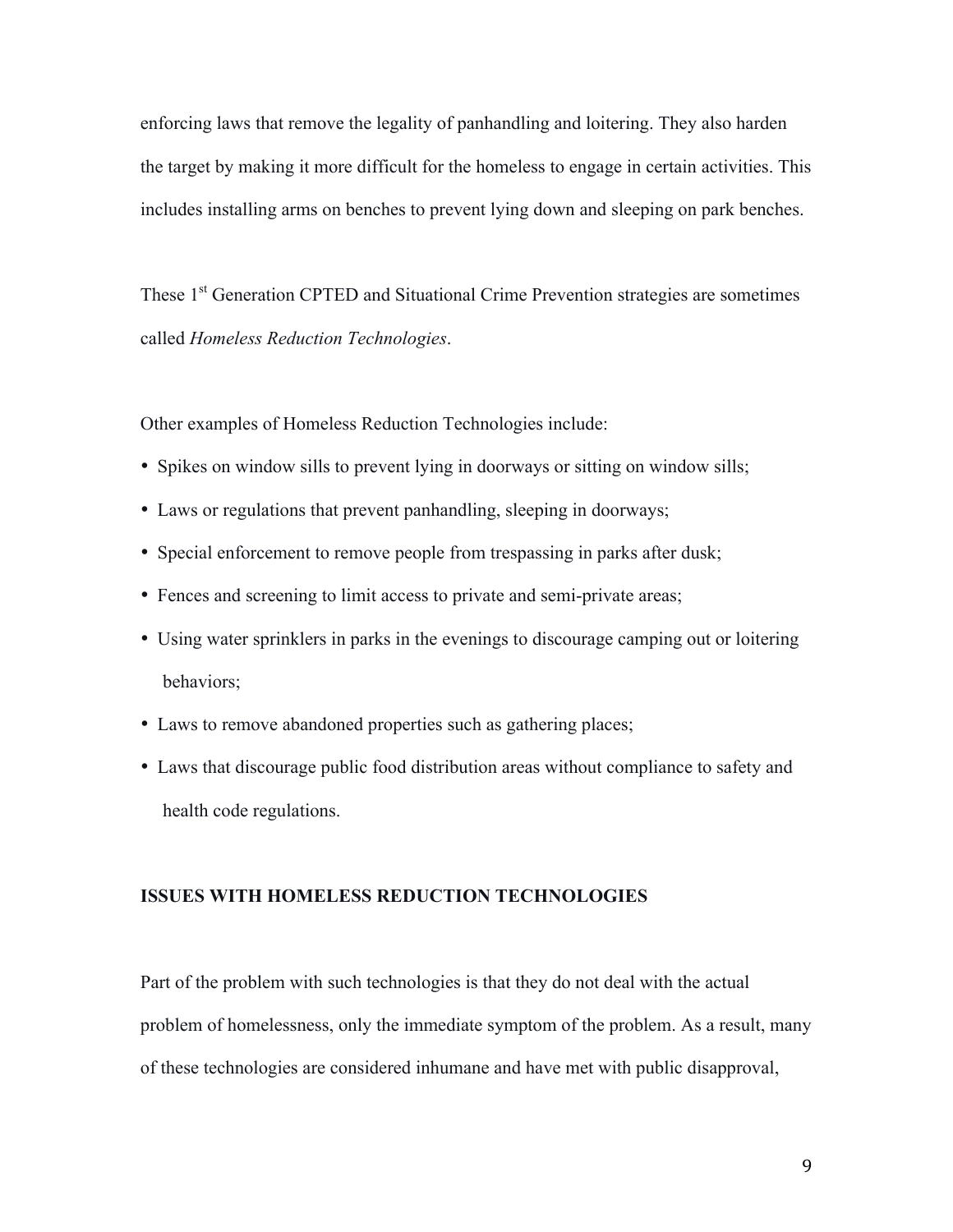enforcing laws that remove the legality of panhandling and loitering. They also harden the target by making it more difficult for the homeless to engage in certain activities. This includes installing arms on benches to prevent lying down and sleeping on park benches.

These 1<sup>st</sup> Generation CPTED and Situational Crime Prevention strategies are sometimes called *Homeless Reduction Technologies*.

Other examples of Homeless Reduction Technologies include:

- Spikes on window sills to prevent lying in doorways or sitting on window sills;
- Laws or regulations that prevent panhandling, sleeping in doorways;
- Special enforcement to remove people from trespassing in parks after dusk;
- Fences and screening to limit access to private and semi-private areas;
- Using water sprinklers in parks in the evenings to discourage camping out or loitering behaviors;
- Laws to remove abandoned properties such as gathering places;
- Laws that discourage public food distribution areas without compliance to safety and health code regulations.

#### **ISSUES WITH HOMELESS REDUCTION TECHNOLOGIES**

Part of the problem with such technologies is that they do not deal with the actual problem of homelessness, only the immediate symptom of the problem. As a result, many of these technologies are considered inhumane and have met with public disapproval,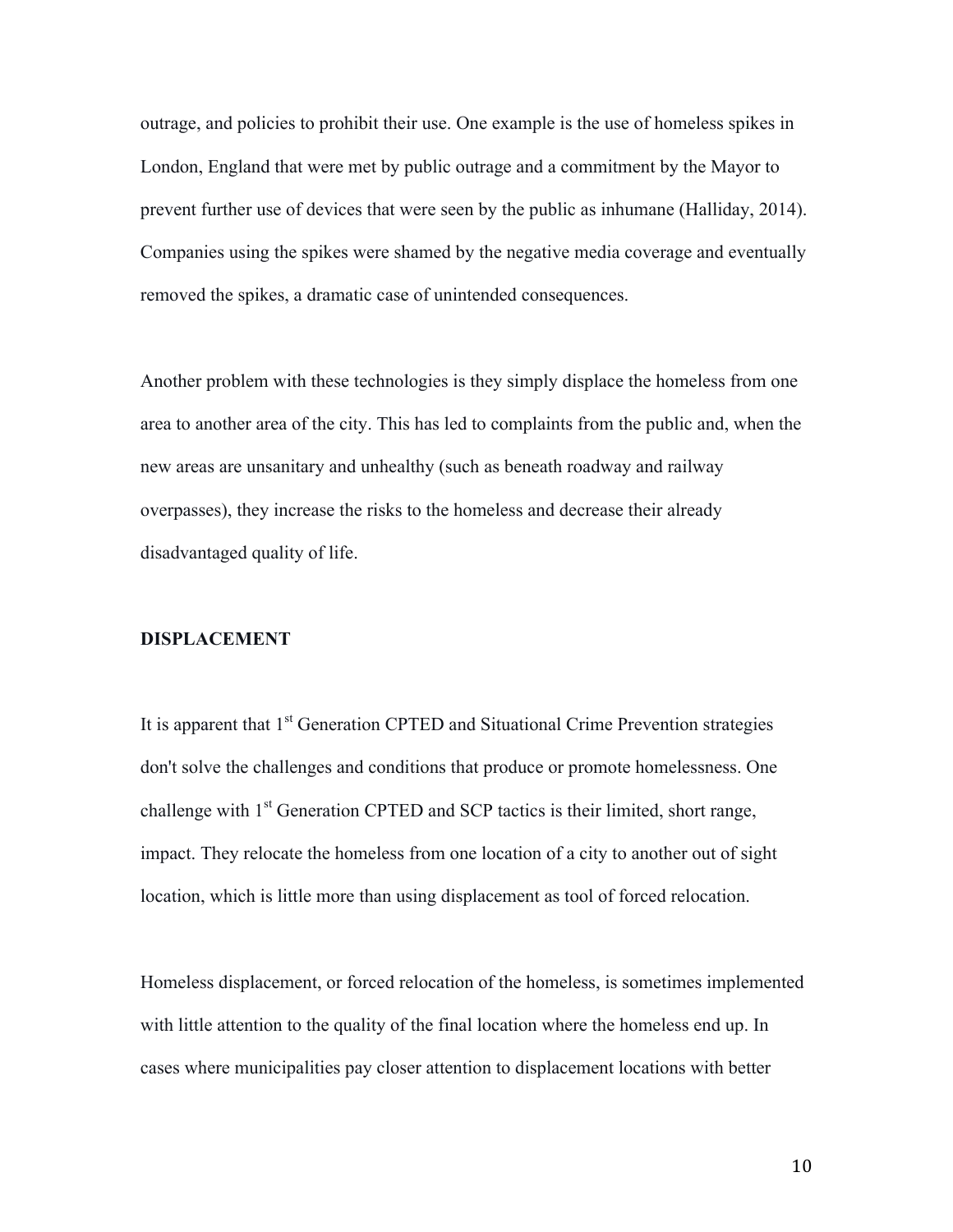outrage, and policies to prohibit their use. One example is the use of homeless spikes in London, England that were met by public outrage and a commitment by the Mayor to prevent further use of devices that were seen by the public as inhumane (Halliday, 2014). Companies using the spikes were shamed by the negative media coverage and eventually removed the spikes, a dramatic case of unintended consequences.

Another problem with these technologies is they simply displace the homeless from one area to another area of the city. This has led to complaints from the public and, when the new areas are unsanitary and unhealthy (such as beneath roadway and railway overpasses), they increase the risks to the homeless and decrease their already disadvantaged quality of life.

#### **DISPLACEMENT**

It is apparent that 1<sup>st</sup> Generation CPTED and Situational Crime Prevention strategies don't solve the challenges and conditions that produce or promote homelessness. One challenge with  $1<sup>st</sup>$  Generation CPTED and SCP tactics is their limited, short range, impact. They relocate the homeless from one location of a city to another out of sight location, which is little more than using displacement as tool of forced relocation.

Homeless displacement, or forced relocation of the homeless, is sometimes implemented with little attention to the quality of the final location where the homeless end up. In cases where municipalities pay closer attention to displacement locations with better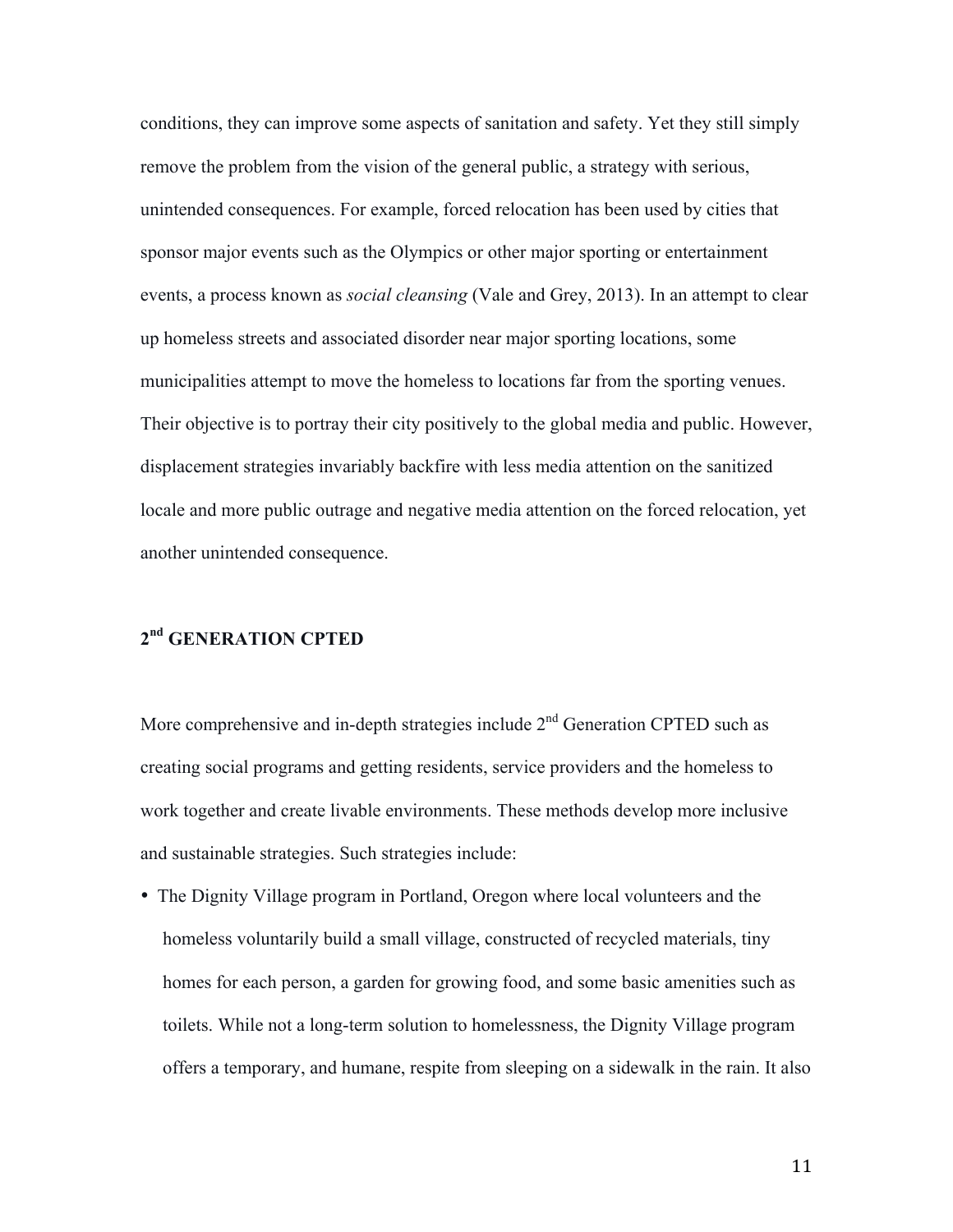conditions, they can improve some aspects of sanitation and safety. Yet they still simply remove the problem from the vision of the general public, a strategy with serious, unintended consequences. For example, forced relocation has been used by cities that sponsor major events such as the Olympics or other major sporting or entertainment events, a process known as *social cleansing* (Vale and Grey, 2013). In an attempt to clear up homeless streets and associated disorder near major sporting locations, some municipalities attempt to move the homeless to locations far from the sporting venues. Their objective is to portray their city positively to the global media and public. However, displacement strategies invariably backfire with less media attention on the sanitized locale and more public outrage and negative media attention on the forced relocation, yet another unintended consequence.

## **2nd GENERATION CPTED**

More comprehensive and in-depth strategies include  $2<sup>nd</sup>$  Generation CPTED such as creating social programs and getting residents, service providers and the homeless to work together and create livable environments. These methods develop more inclusive and sustainable strategies. Such strategies include:

• The Dignity Village program in Portland, Oregon where local volunteers and the homeless voluntarily build a small village, constructed of recycled materials, tiny homes for each person, a garden for growing food, and some basic amenities such as toilets. While not a long-term solution to homelessness, the Dignity Village program offers a temporary, and humane, respite from sleeping on a sidewalk in the rain. It also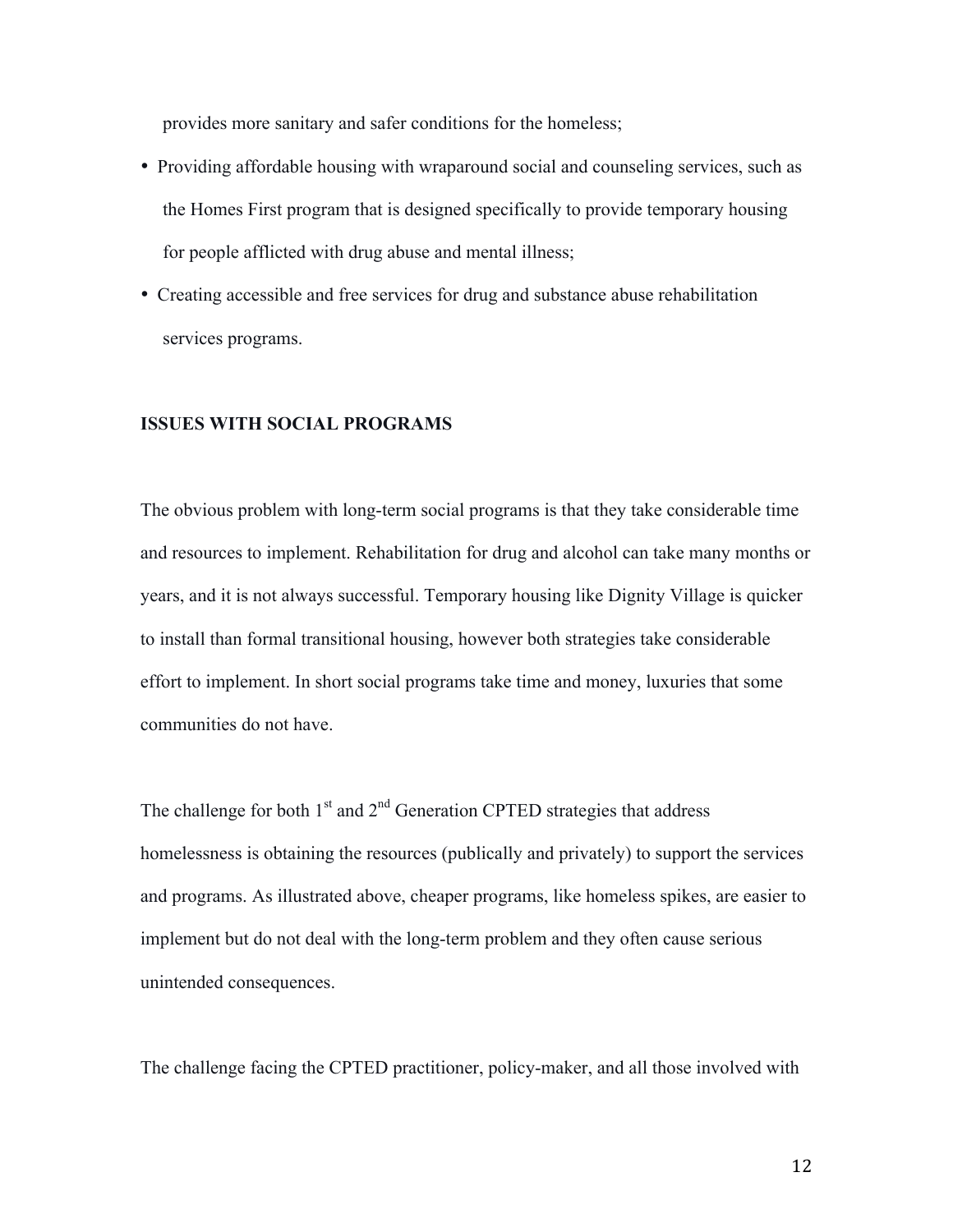provides more sanitary and safer conditions for the homeless;

- Providing affordable housing with wraparound social and counseling services, such as the Homes First program that is designed specifically to provide temporary housing for people afflicted with drug abuse and mental illness;
- Creating accessible and free services for drug and substance abuse rehabilitation services programs.

#### **ISSUES WITH SOCIAL PROGRAMS**

The obvious problem with long-term social programs is that they take considerable time and resources to implement. Rehabilitation for drug and alcohol can take many months or years, and it is not always successful. Temporary housing like Dignity Village is quicker to install than formal transitional housing, however both strategies take considerable effort to implement. In short social programs take time and money, luxuries that some communities do not have.

The challenge for both  $1<sup>st</sup>$  and  $2<sup>nd</sup>$  Generation CPTED strategies that address homelessness is obtaining the resources (publically and privately) to support the services and programs. As illustrated above, cheaper programs, like homeless spikes, are easier to implement but do not deal with the long-term problem and they often cause serious unintended consequences.

The challenge facing the CPTED practitioner, policy-maker, and all those involved with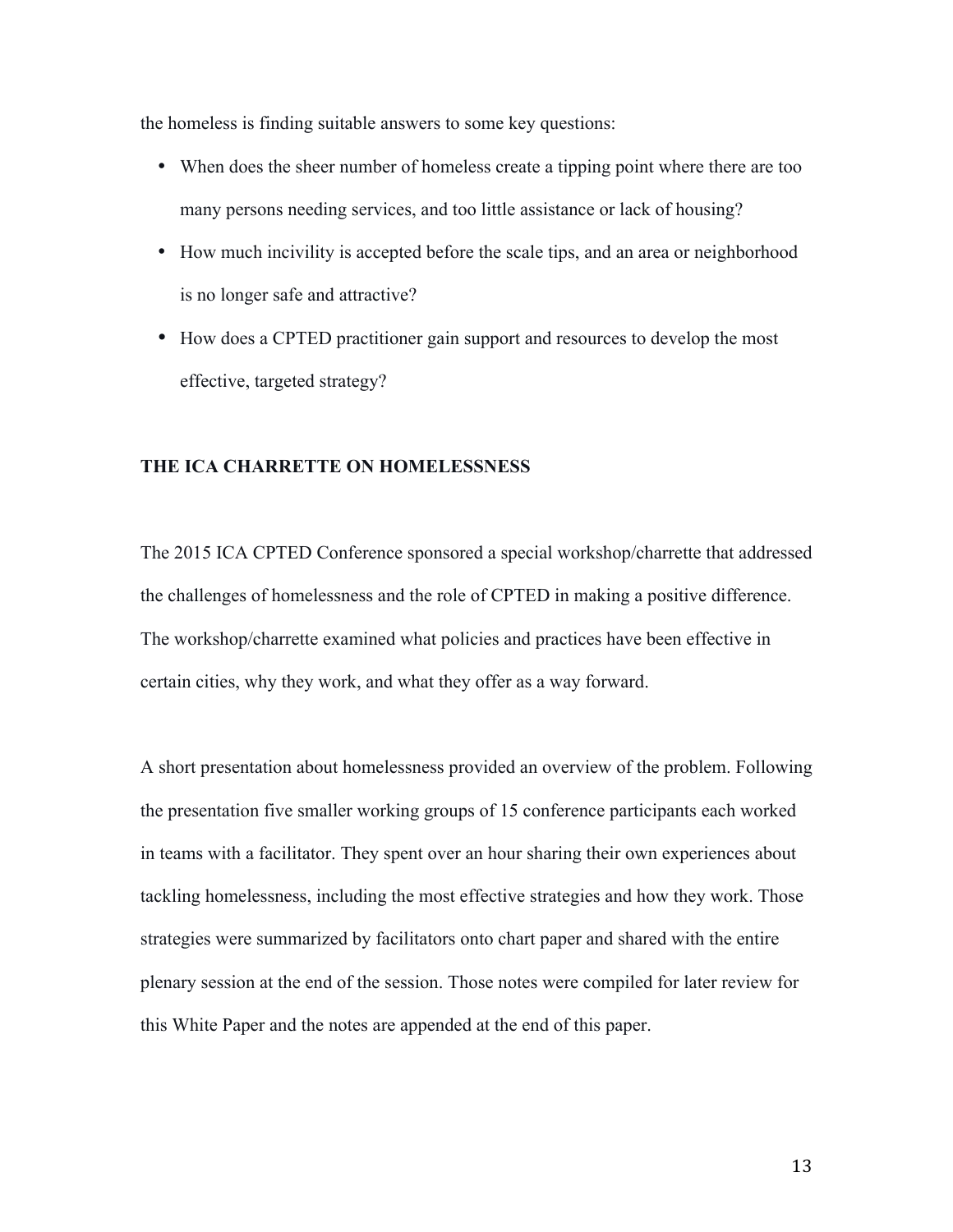the homeless is finding suitable answers to some key questions:

- When does the sheer number of homeless create a tipping point where there are too many persons needing services, and too little assistance or lack of housing?
- How much incivility is accepted before the scale tips, and an area or neighborhood is no longer safe and attractive?
- How does a CPTED practitioner gain support and resources to develop the most effective, targeted strategy?

#### **THE ICA CHARRETTE ON HOMELESSNESS**

The 2015 ICA CPTED Conference sponsored a special workshop/charrette that addressed the challenges of homelessness and the role of CPTED in making a positive difference. The workshop/charrette examined what policies and practices have been effective in certain cities, why they work, and what they offer as a way forward.

A short presentation about homelessness provided an overview of the problem. Following the presentation five smaller working groups of 15 conference participants each worked in teams with a facilitator. They spent over an hour sharing their own experiences about tackling homelessness, including the most effective strategies and how they work. Those strategies were summarized by facilitators onto chart paper and shared with the entire plenary session at the end of the session. Those notes were compiled for later review for this White Paper and the notes are appended at the end of this paper.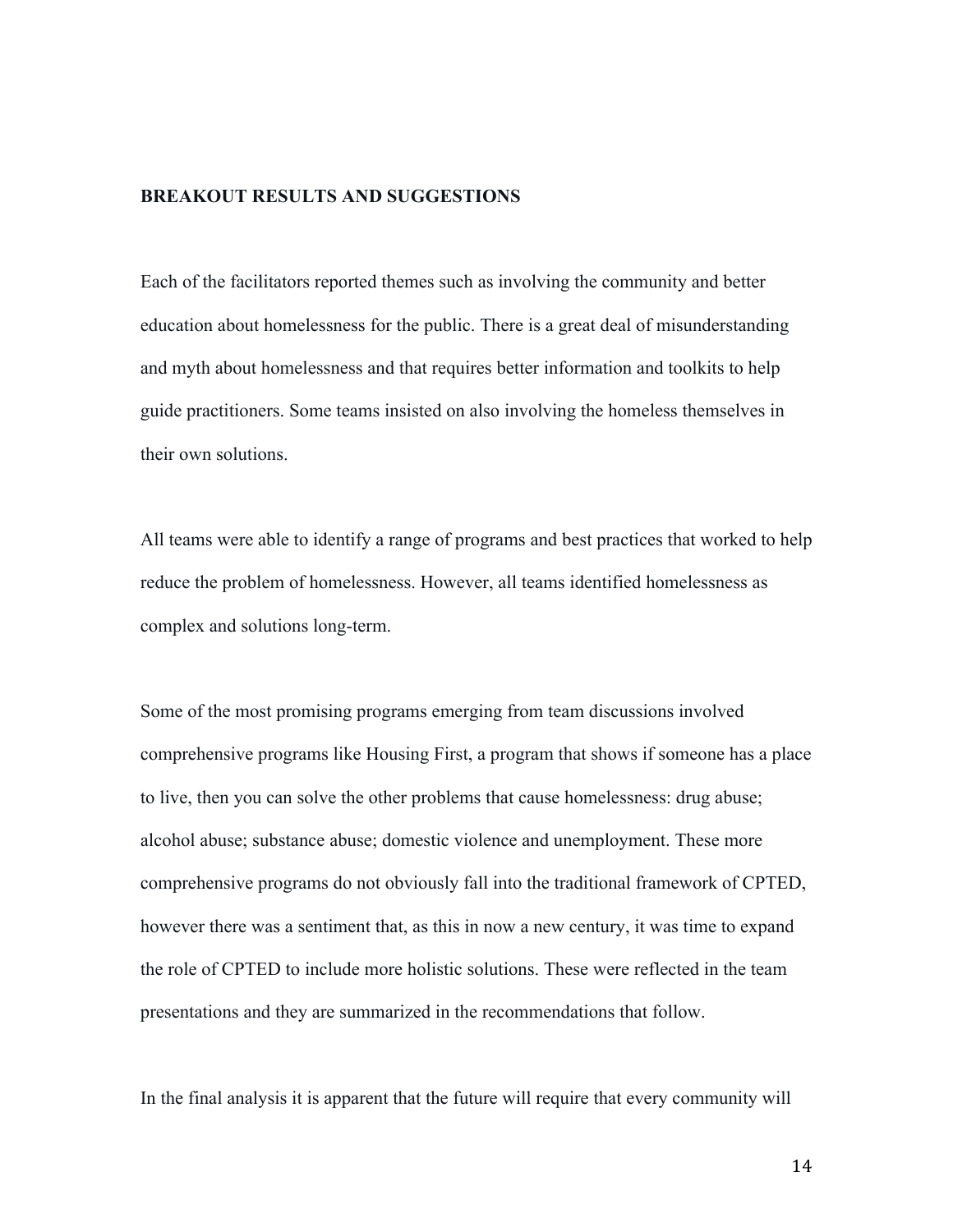#### **BREAKOUT RESULTS AND SUGGESTIONS**

Each of the facilitators reported themes such as involving the community and better education about homelessness for the public. There is a great deal of misunderstanding and myth about homelessness and that requires better information and toolkits to help guide practitioners. Some teams insisted on also involving the homeless themselves in their own solutions.

All teams were able to identify a range of programs and best practices that worked to help reduce the problem of homelessness. However, all teams identified homelessness as complex and solutions long-term.

Some of the most promising programs emerging from team discussions involved comprehensive programs like Housing First, a program that shows if someone has a place to live, then you can solve the other problems that cause homelessness: drug abuse; alcohol abuse; substance abuse; domestic violence and unemployment. These more comprehensive programs do not obviously fall into the traditional framework of CPTED, however there was a sentiment that, as this in now a new century, it was time to expand the role of CPTED to include more holistic solutions. These were reflected in the team presentations and they are summarized in the recommendations that follow.

In the final analysis it is apparent that the future will require that every community will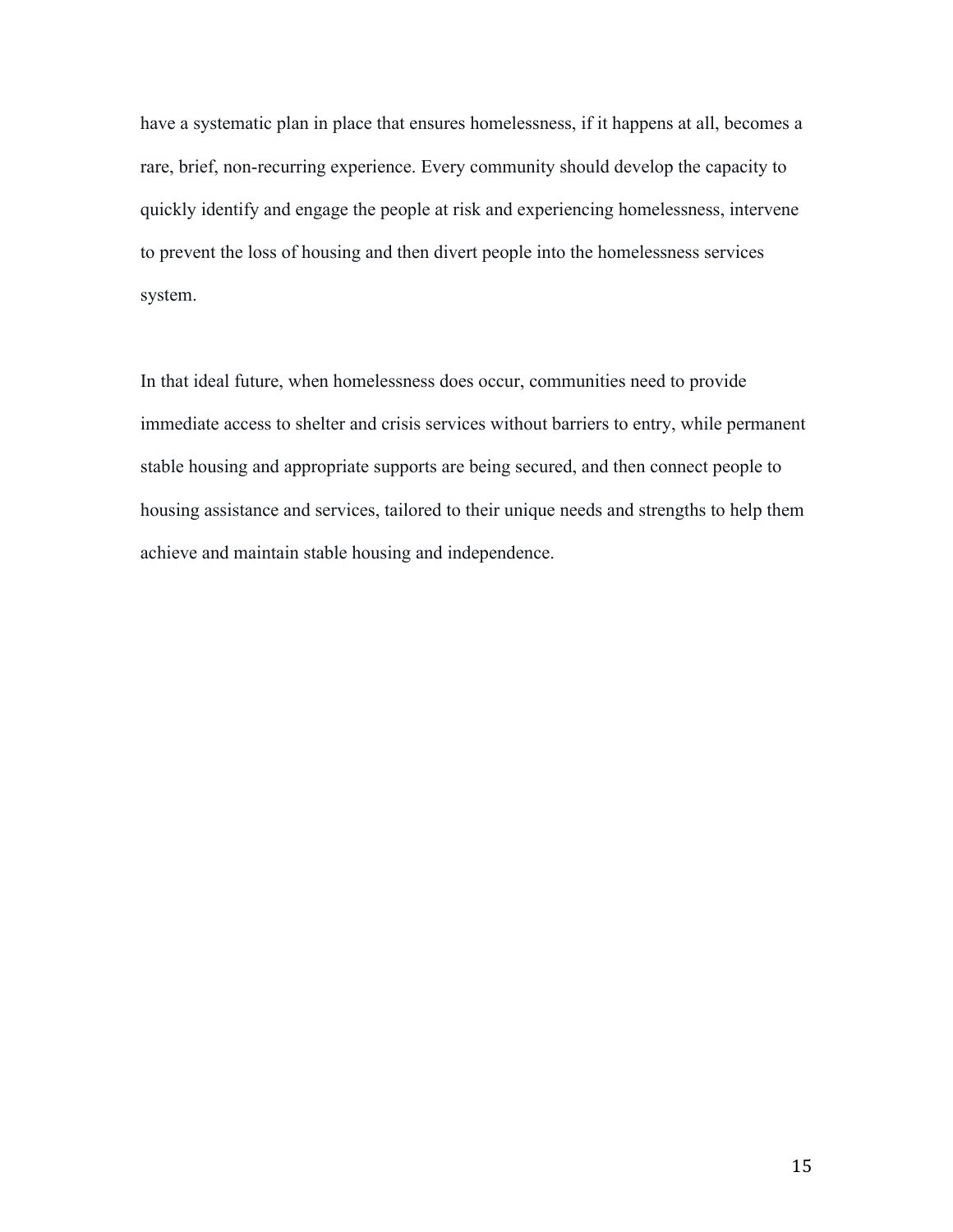have a systematic plan in place that ensures homelessness, if it happens at all, becomes a rare, brief, non-recurring experience. Every community should develop the capacity to quickly identify and engage the people at risk and experiencing homelessness, intervene to prevent the loss of housing and then divert people into the homelessness services system.

In that ideal future, when homelessness does occur, communities need to provide immediate access to shelter and crisis services without barriers to entry, while permanent stable housing and appropriate supports are being secured, and then connect people to housing assistance and services, tailored to their unique needs and strengths to help them achieve and maintain stable housing and independence.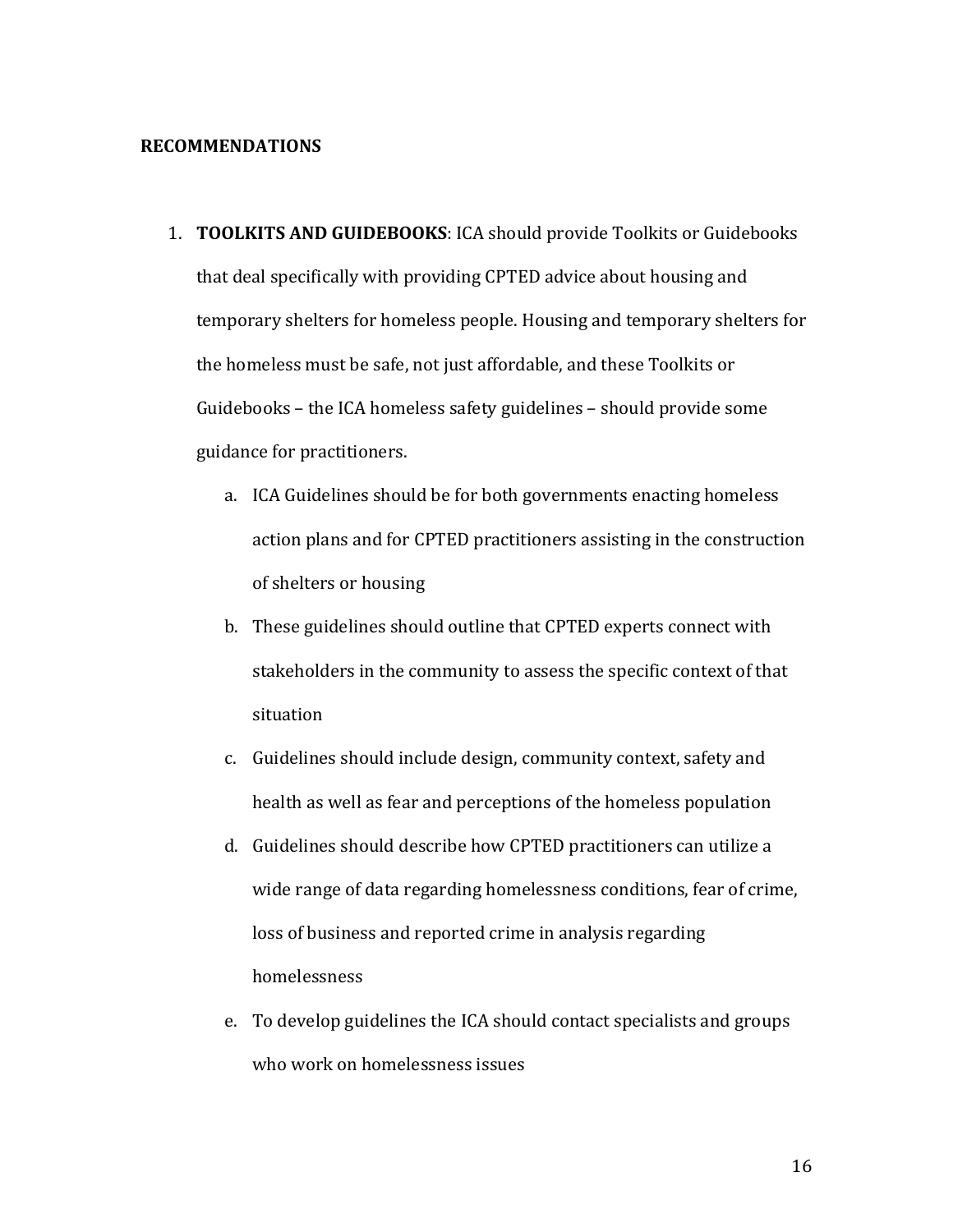#### **RECOMMENDATIONS**

- 1. **TOOLKITS AND GUIDEBOOKS**: ICA should provide Toolkits or Guidebooks that deal specifically with providing CPTED advice about housing and temporary shelters for homeless people. Housing and temporary shelters for the homeless must be safe, not just affordable, and these Toolkits or Guidebooks – the ICA homeless safety guidelines – should provide some guidance for practitioners.
	- a. ICA Guidelines should be for both governments enacting homeless action plans and for CPTED practitioners assisting in the construction of shelters or housing
	- b. These guidelines should outline that CPTED experts connect with stakeholders in the community to assess the specific context of that situation
	- c. Guidelines should include design, community context, safety and health as well as fear and perceptions of the homeless population
	- d. Guidelines should describe how CPTED practitioners can utilize a wide range of data regarding homelessness conditions, fear of crime, loss of business and reported crime in analysis regarding homelessness
	- e. To develop guidelines the ICA should contact specialists and groups who work on homelessness issues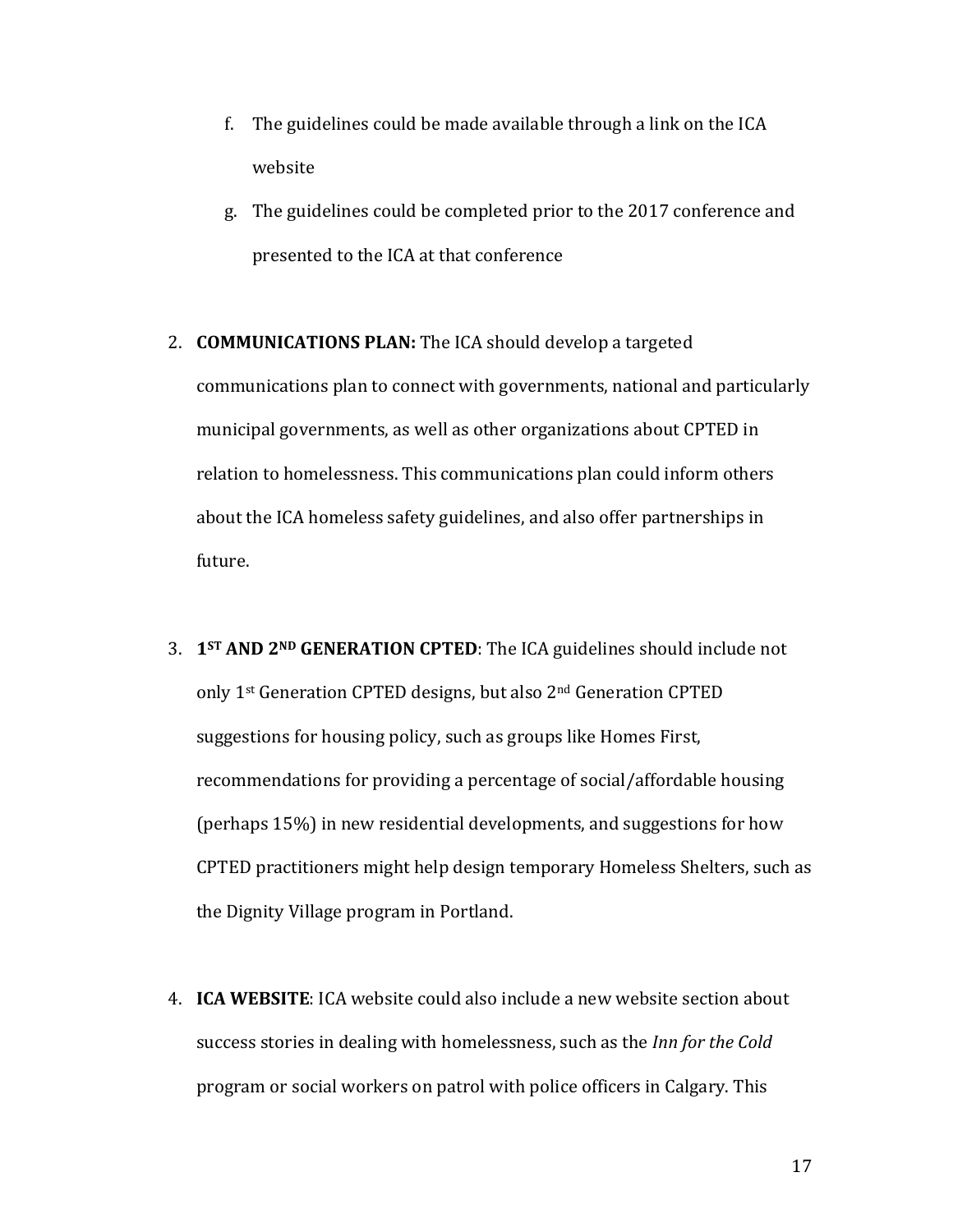- f. The guidelines could be made available through a link on the  $ICA$ website
- g. The guidelines could be completed prior to the 2017 conference and presented to the ICA at that conference
- 2. **COMMUNICATIONS PLAN:** The ICA should develop a targeted communications plan to connect with governments, national and particularly municipal governments, as well as other organizations about CPTED in relation to homelessness. This communications plan could inform others about the ICA homeless safety guidelines, and also offer partnerships in future.
- 3. **1<sup>ST</sup> AND 2<sup>ND</sup> GENERATION CPTED**: The ICA guidelines should include not only 1<sup>st</sup> Generation CPTED designs, but also 2<sup>nd</sup> Generation CPTED suggestions for housing policy, such as groups like Homes First, recommendations for providing a percentage of social/affordable housing (perhaps  $15\%$ ) in new residential developments, and suggestions for how CPTED practitioners might help design temporary Homeless Shelters, such as the Dignity Village program in Portland.
- 4. **ICA WEBSITE:** ICA website could also include a new website section about success stories in dealing with homelessness, such as the *Inn for the Cold* program or social workers on patrol with police officers in Calgary. This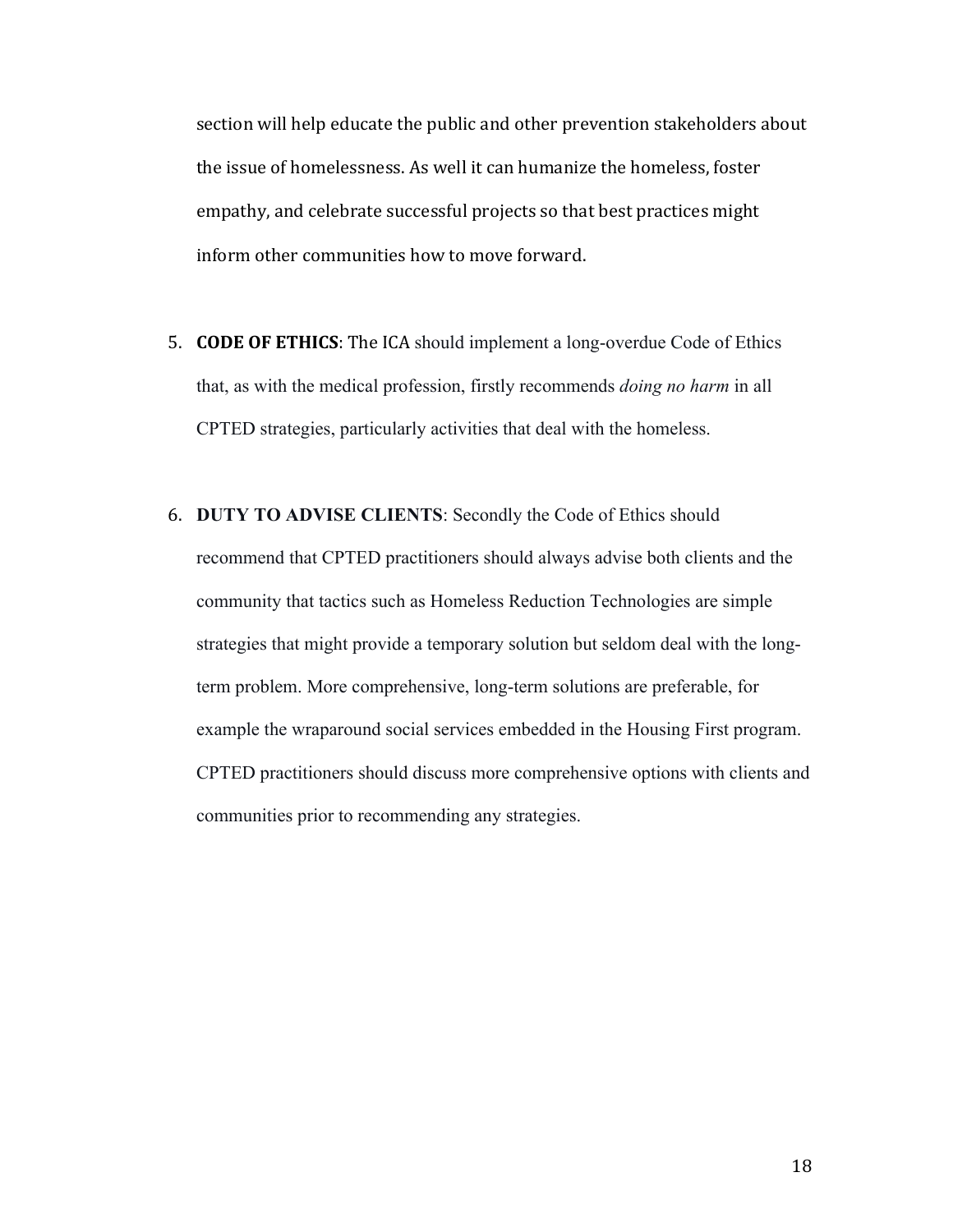section will help educate the public and other prevention stakeholders about the issue of homelessness. As well it can humanize the homeless, foster empathy, and celebrate successful projects so that best practices might inform other communities how to move forward.

- 5. **CODE OF ETHICS**: The ICA should implement a long-overdue Code of Ethics that, as with the medical profession, firstly recommends *doing no harm* in all CPTED strategies, particularly activities that deal with the homeless.
- 6. **DUTY TO ADVISE CLIENTS**: Secondly the Code of Ethics should recommend that CPTED practitioners should always advise both clients and the community that tactics such as Homeless Reduction Technologies are simple strategies that might provide a temporary solution but seldom deal with the longterm problem. More comprehensive, long-term solutions are preferable, for example the wraparound social services embedded in the Housing First program. CPTED practitioners should discuss more comprehensive options with clients and communities prior to recommending any strategies.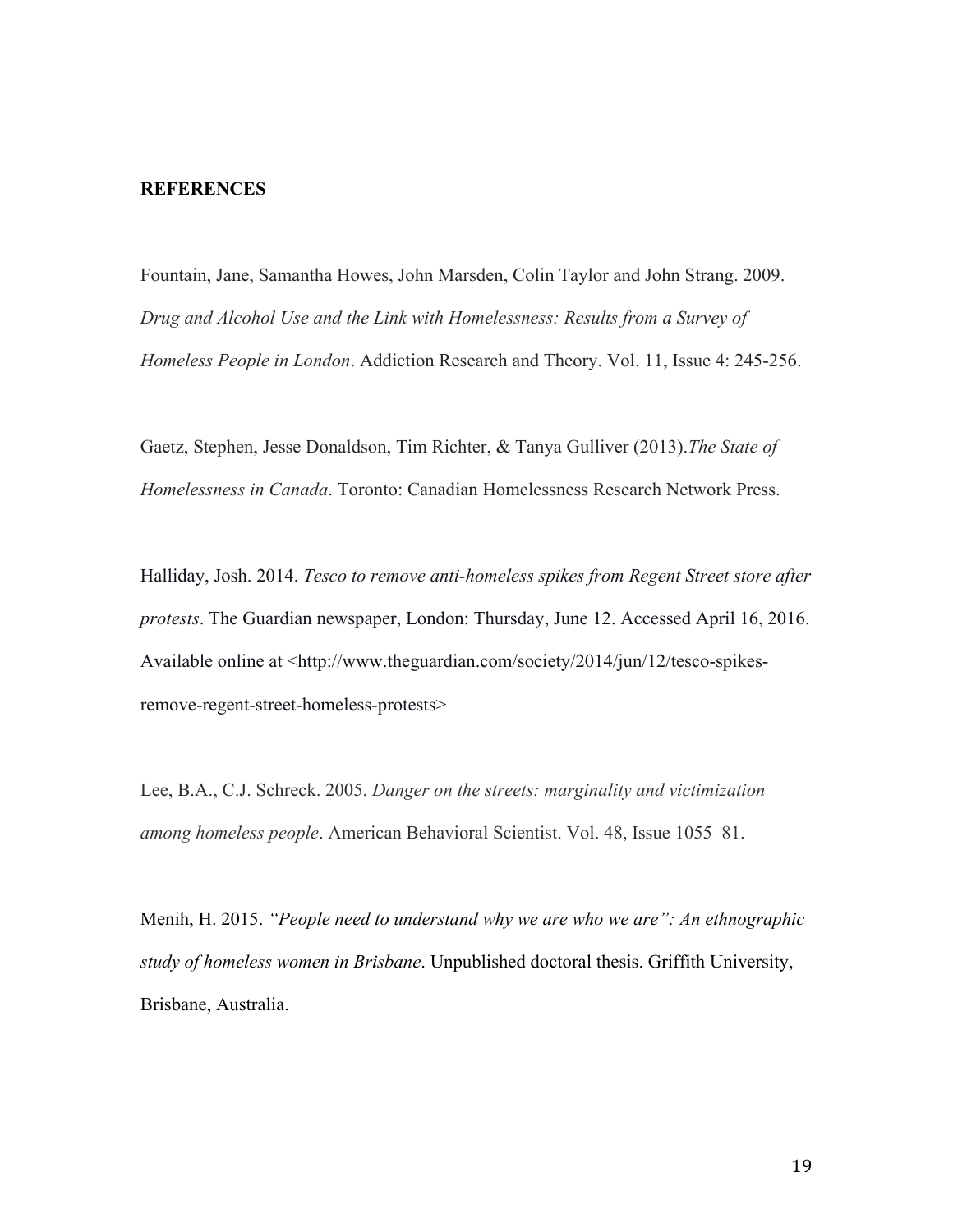#### **REFERENCES**

Fountain, Jane, Samantha Howes, John Marsden, Colin Taylor and John Strang. 2009. *Drug and Alcohol Use and the Link with Homelessness: Results from a Survey of Homeless People in London*. Addiction Research and Theory. Vol. 11, Issue 4: 245-256.

Gaetz, Stephen, Jesse Donaldson, Tim Richter, & Tanya Gulliver (2013).*The State of Homelessness in Canada*. Toronto: Canadian Homelessness Research Network Press.

Halliday, Josh. 2014. *Tesco to remove anti-homeless spikes from Regent Street store after protests*. The Guardian newspaper, London: Thursday, June 12. Accessed April 16, 2016. Available online at <http://www.theguardian.com/society/2014/jun/12/tesco-spikesremove-regent-street-homeless-protests>

Lee, B.A., C.J. Schreck. 2005. *Danger on the streets: marginality and victimization among homeless people*. American Behavioral Scientist. Vol. 48, Issue 1055–81.

Menih, H. 2015. *"People need to understand why we are who we are": An ethnographic study of homeless women in Brisbane*. Unpublished doctoral thesis. Griffith University, Brisbane, Australia.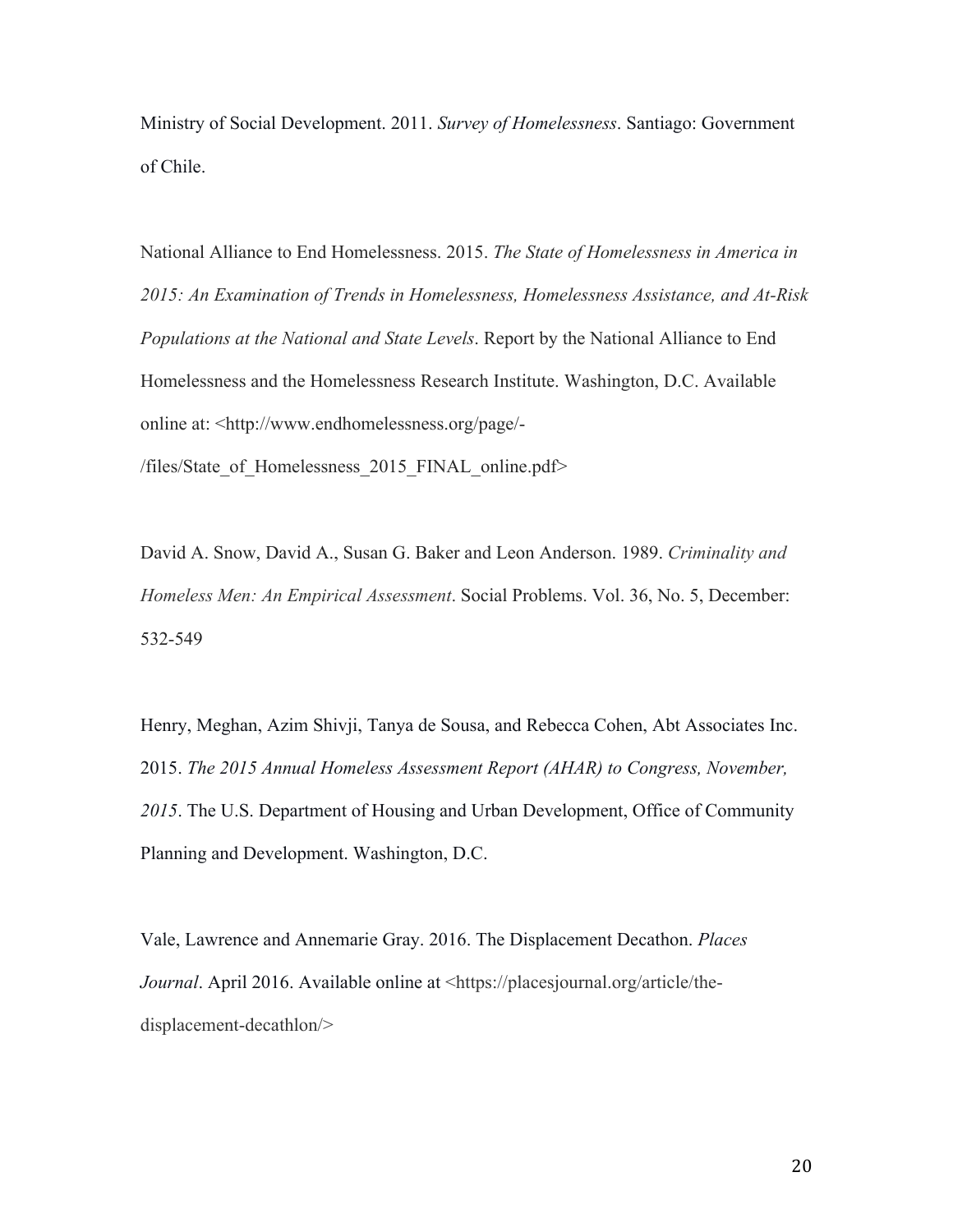Ministry of Social Development. 2011. *Survey of Homelessness*. Santiago: Government of Chile.

National Alliance to End Homelessness. 2015. *The State of Homelessness in America in 2015: An Examination of Trends in Homelessness, Homelessness Assistance, and At-Risk Populations at the National and State Levels*. Report by the National Alliance to End Homelessness and the Homelessness Research Institute. Washington, D.C. Available online at: <http://www.endhomelessness.org/page/-

/files/State\_of\_Homelessness\_2015\_FINAL\_online.pdf>

David A. Snow, David A., Susan G. Baker and Leon Anderson. 1989. *Criminality and Homeless Men: An Empirical Assessment*. Social Problems. Vol. 36, No. 5, December: 532-549

Henry, Meghan, Azim Shivji, Tanya de Sousa, and Rebecca Cohen, Abt Associates Inc. 2015. *The 2015 Annual Homeless Assessment Report (AHAR) to Congress, November, 2015*. The U.S. Department of Housing and Urban Development, Office of Community Planning and Development. Washington, D.C.

Vale, Lawrence and Annemarie Gray. 2016. The Displacement Decathon. *Places Journal*. April 2016. Available online at <https://placesjournal.org/article/thedisplacement-decathlon/>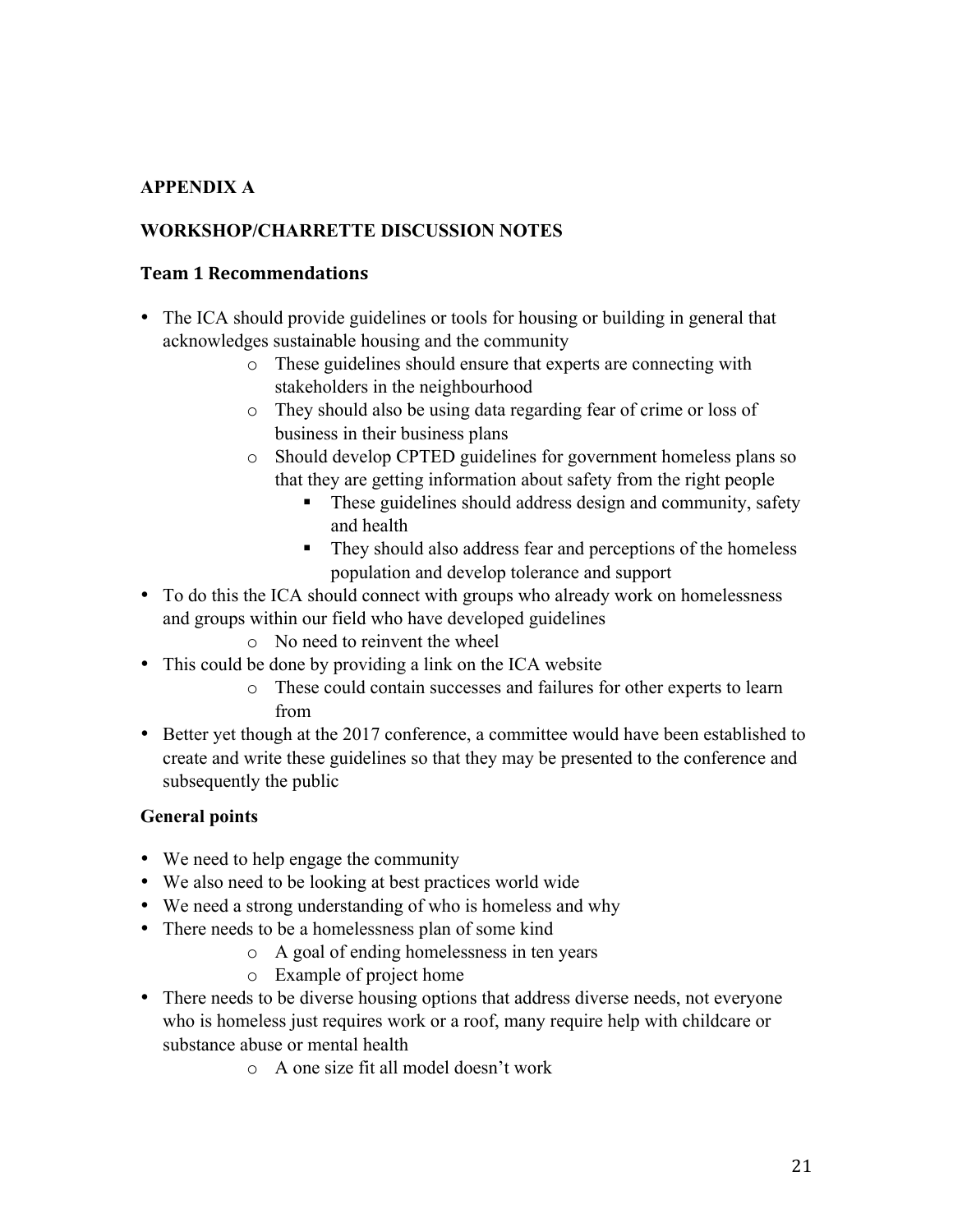## **APPENDIX A**

## **WORKSHOP/CHARRETTE DISCUSSION NOTES**

### **Team 1 Recommendations**

- The ICA should provide guidelines or tools for housing or building in general that acknowledges sustainable housing and the community
	- o These guidelines should ensure that experts are connecting with stakeholders in the neighbourhood
	- o They should also be using data regarding fear of crime or loss of business in their business plans
	- o Should develop CPTED guidelines for government homeless plans so that they are getting information about safety from the right people
		- ! These guidelines should address design and community, safety and health
		- ! They should also address fear and perceptions of the homeless population and develop tolerance and support
- To do this the ICA should connect with groups who already work on homelessness and groups within our field who have developed guidelines
	- o No need to reinvent the wheel
- This could be done by providing a link on the ICA website
	- o These could contain successes and failures for other experts to learn from
- Better yet though at the 2017 conference, a committee would have been established to create and write these guidelines so that they may be presented to the conference and subsequently the public

## **General points**

- We need to help engage the community
- We also need to be looking at best practices world wide
- We need a strong understanding of who is homeless and why
- There needs to be a homelessness plan of some kind
	- o A goal of ending homelessness in ten years
	- o Example of project home
- There needs to be diverse housing options that address diverse needs, not everyone who is homeless just requires work or a roof, many require help with childcare or substance abuse or mental health
	- o A one size fit all model doesn't work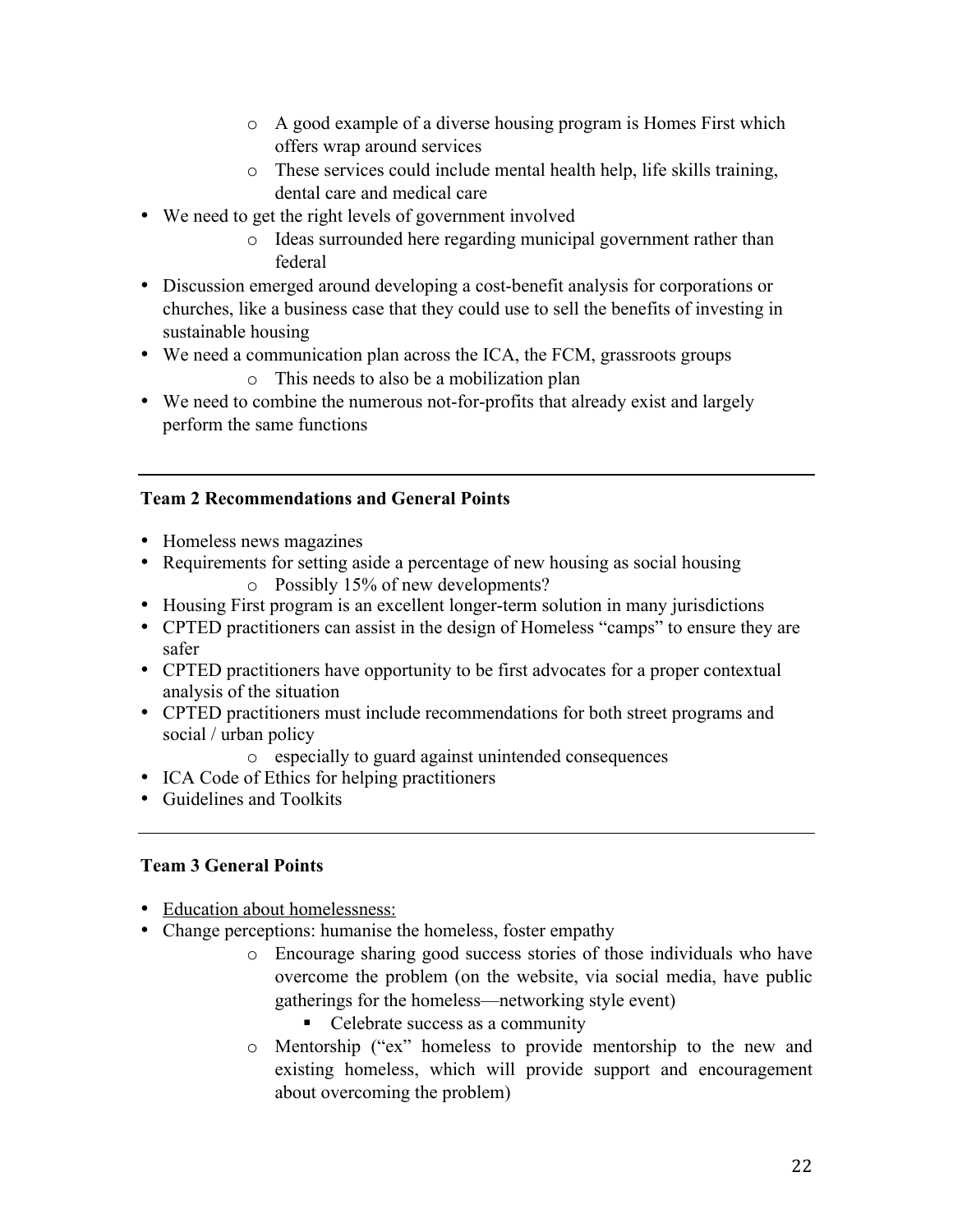- o A good example of a diverse housing program is Homes First which offers wrap around services
- o These services could include mental health help, life skills training, dental care and medical care
- We need to get the right levels of government involved
	- o Ideas surrounded here regarding municipal government rather than federal
- Discussion emerged around developing a cost-benefit analysis for corporations or churches, like a business case that they could use to sell the benefits of investing in sustainable housing
- We need a communication plan across the ICA, the FCM, grassroots groups
	- o This needs to also be a mobilization plan
- We need to combine the numerous not-for-profits that already exist and largely perform the same functions

## **Team 2 Recommendations and General Points**

- Homeless news magazines
- Requirements for setting aside a percentage of new housing as social housing o Possibly 15% of new developments?
- Housing First program is an excellent longer-term solution in many jurisdictions
- CPTED practitioners can assist in the design of Homeless "camps" to ensure they are safer
- CPTED practitioners have opportunity to be first advocates for a proper contextual analysis of the situation
- CPTED practitioners must include recommendations for both street programs and social / urban policy
	- o especially to guard against unintended consequences
- ICA Code of Ethics for helping practitioners
- Guidelines and Toolkits

## **Team 3 General Points**

- Education about homelessness:
- Change perceptions: humanise the homeless, foster empathy
	- o Encourage sharing good success stories of those individuals who have overcome the problem (on the website, via social media, have public gatherings for the homeless—networking style event)
		- Celebrate success as a community
	- o Mentorship ("ex" homeless to provide mentorship to the new and existing homeless, which will provide support and encouragement about overcoming the problem)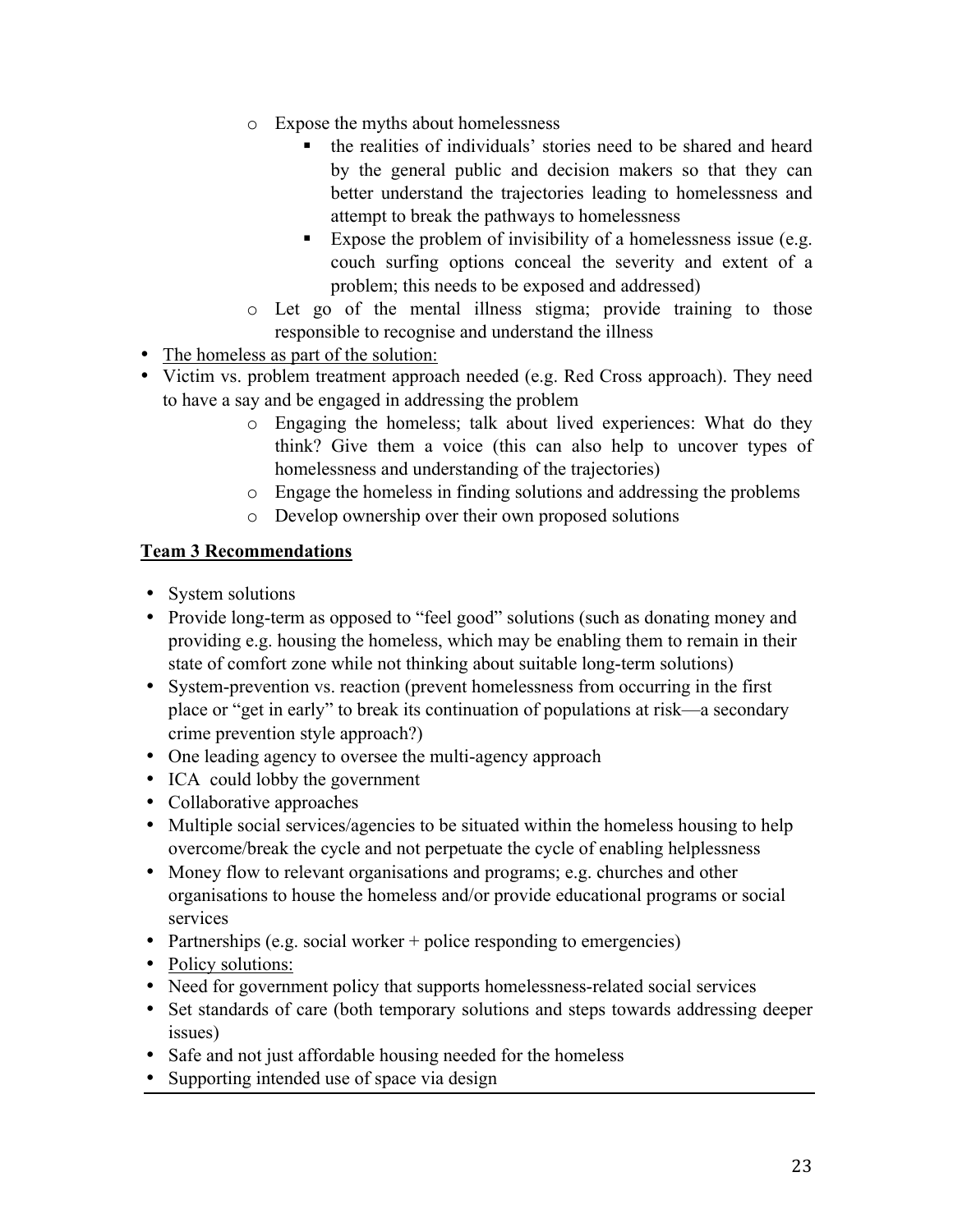- o Expose the myths about homelessness
	- ! the realities of individuals' stories need to be shared and heard by the general public and decision makers so that they can better understand the trajectories leading to homelessness and attempt to break the pathways to homelessness
	- Expose the problem of invisibility of a homelessness issue (e.g. couch surfing options conceal the severity and extent of a problem; this needs to be exposed and addressed)
- o Let go of the mental illness stigma; provide training to those responsible to recognise and understand the illness
- The homeless as part of the solution:
- Victim vs. problem treatment approach needed (e.g. Red Cross approach). They need to have a say and be engaged in addressing the problem
	- o Engaging the homeless; talk about lived experiences: What do they think? Give them a voice (this can also help to uncover types of homelessness and understanding of the trajectories)
	- o Engage the homeless in finding solutions and addressing the problems
	- o Develop ownership over their own proposed solutions

## **Team 3 Recommendations**

- System solutions
- Provide long-term as opposed to "feel good" solutions (such as donating money and providing e.g. housing the homeless, which may be enabling them to remain in their state of comfort zone while not thinking about suitable long-term solutions)
- System-prevention vs. reaction (prevent homelessness from occurring in the first place or "get in early" to break its continuation of populations at risk—a secondary crime prevention style approach?)
- One leading agency to oversee the multi-agency approach
- ICA could lobby the government
- Collaborative approaches
- Multiple social services/agencies to be situated within the homeless housing to help overcome/break the cycle and not perpetuate the cycle of enabling helplessness
- Money flow to relevant organisations and programs; e.g. churches and other organisations to house the homeless and/or provide educational programs or social services
- Partnerships (e.g. social worker + police responding to emergencies)
- Policy solutions:
- Need for government policy that supports homelessness-related social services
- Set standards of care (both temporary solutions and steps towards addressing deeper issues)
- Safe and not just affordable housing needed for the homeless
- Supporting intended use of space via design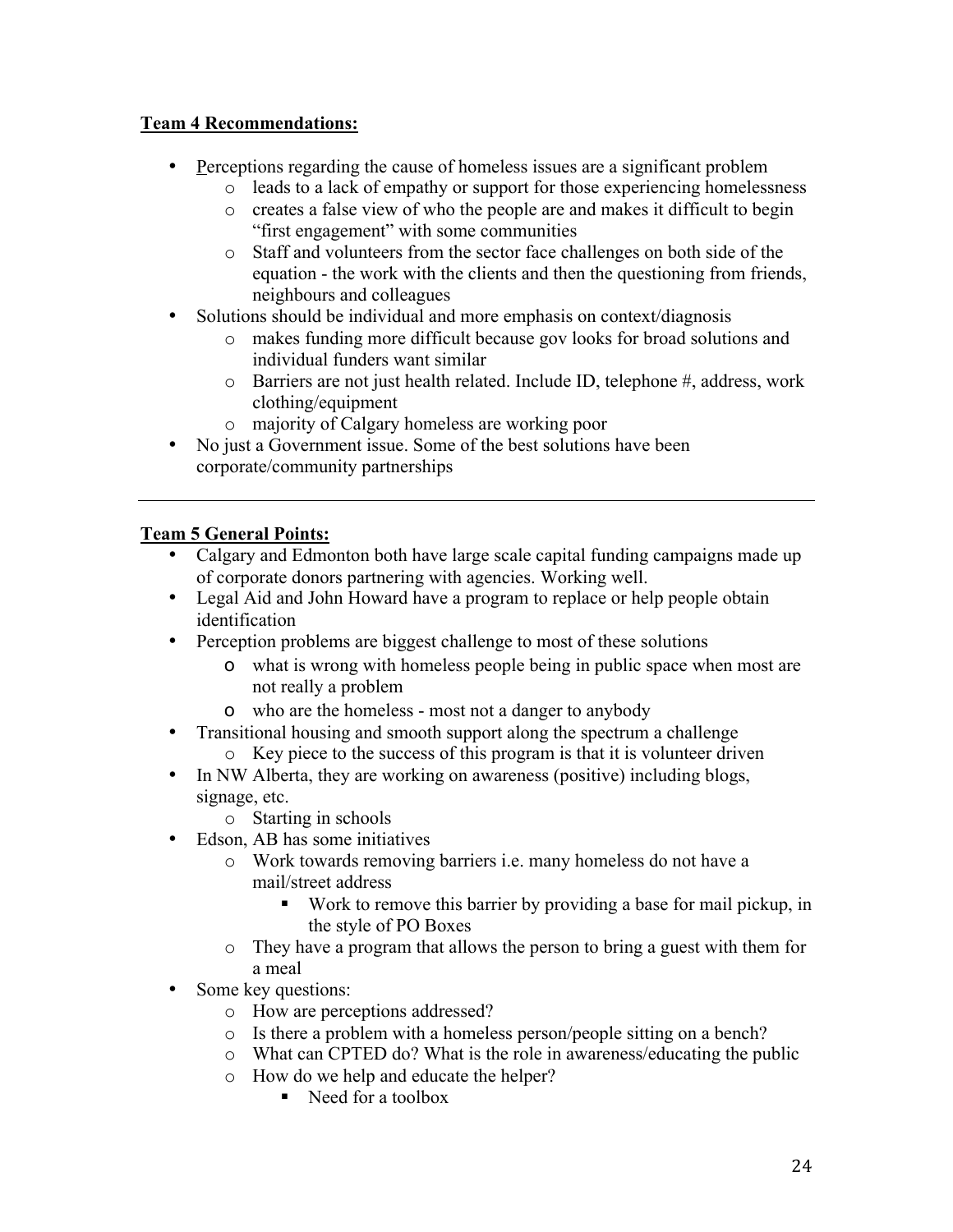## **Team 4 Recommendations:**

- Perceptions regarding the cause of homeless issues are a significant problem
	- o leads to a lack of empathy or support for those experiencing homelessness
		- o creates a false view of who the people are and makes it difficult to begin "first engagement" with some communities
		- o Staff and volunteers from the sector face challenges on both side of the equation - the work with the clients and then the questioning from friends, neighbours and colleagues
- Solutions should be individual and more emphasis on context/diagnosis
	- o makes funding more difficult because gov looks for broad solutions and individual funders want similar
	- o Barriers are not just health related. Include ID, telephone #, address, work clothing/equipment
	- o majority of Calgary homeless are working poor
- No just a Government issue. Some of the best solutions have been corporate/community partnerships

## **Team 5 General Points:**

- Calgary and Edmonton both have large scale capital funding campaigns made up of corporate donors partnering with agencies. Working well.
- Legal Aid and John Howard have a program to replace or help people obtain identification
- Perception problems are biggest challenge to most of these solutions
	- o what is wrong with homeless people being in public space when most are not really a problem
	- o who are the homeless most not a danger to anybody
- Transitional housing and smooth support along the spectrum a challenge
	- o Key piece to the success of this program is that it is volunteer driven
- In NW Alberta, they are working on awareness (positive) including blogs, signage, etc.
	- o Starting in schools
- Edson, AB has some initiatives
	- o Work towards removing barriers i.e. many homeless do not have a mail/street address
		- ! Work to remove this barrier by providing a base for mail pickup, in the style of PO Boxes
	- o They have a program that allows the person to bring a guest with them for a meal
- Some key questions:
	- o How are perceptions addressed?
	- o Is there a problem with a homeless person/people sitting on a bench?
	- o What can CPTED do? What is the role in awareness/educating the public
	- o How do we help and educate the helper?
		- Need for a toolbox